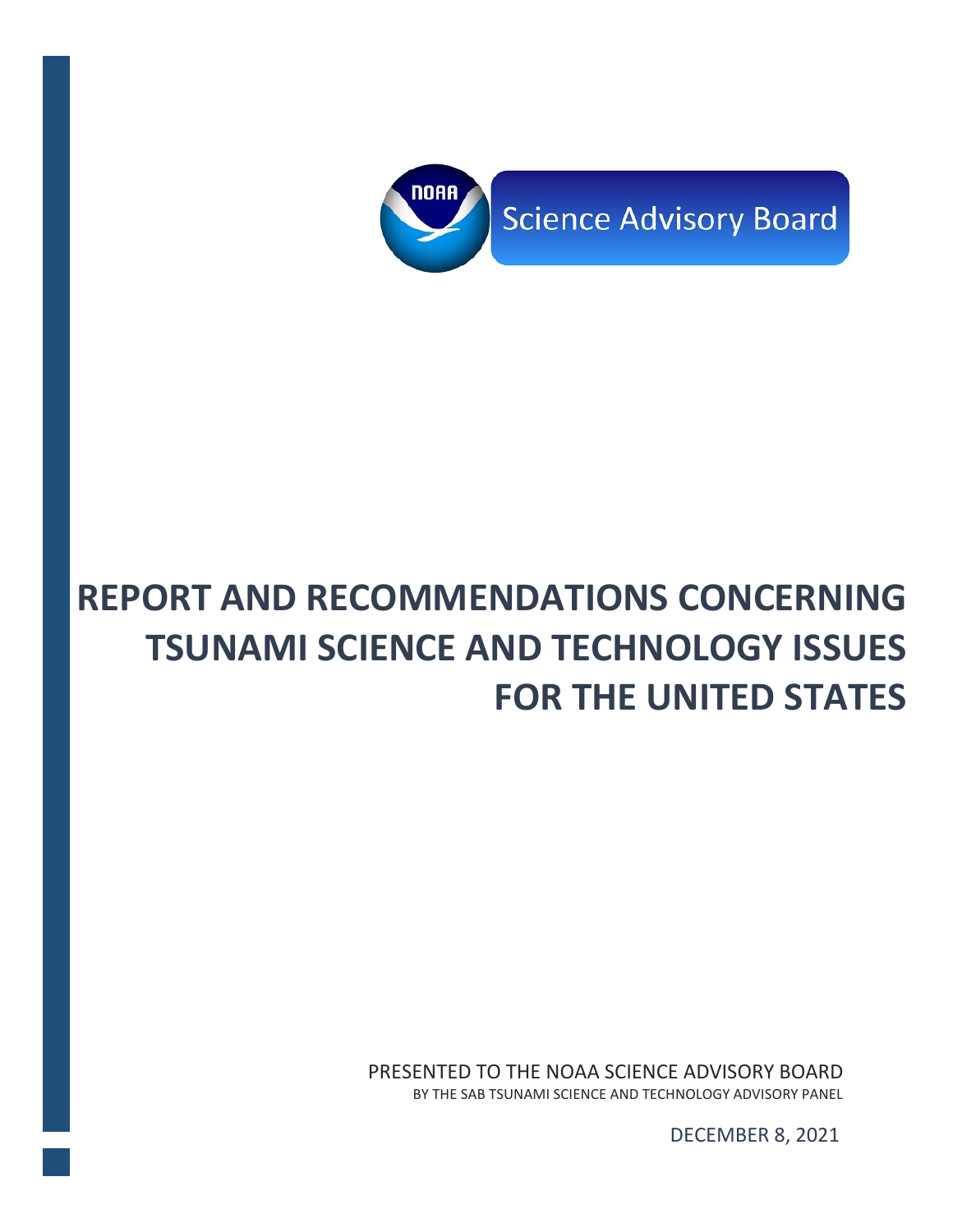

# **REPORT AND RECOMMENDATIONS CONCERNING TSUNAMI SCIENCE AND TECHNOLOGY ISSUES FOR THE UNITED STATES**

PRESENTED TO THE NOAA SCIENCE ADVISORY BOARD BY THE SAB TSUNAMI SCIENCE AND TECHNOLOGY ADVISORY PANEL

DECEMBER 8, 2021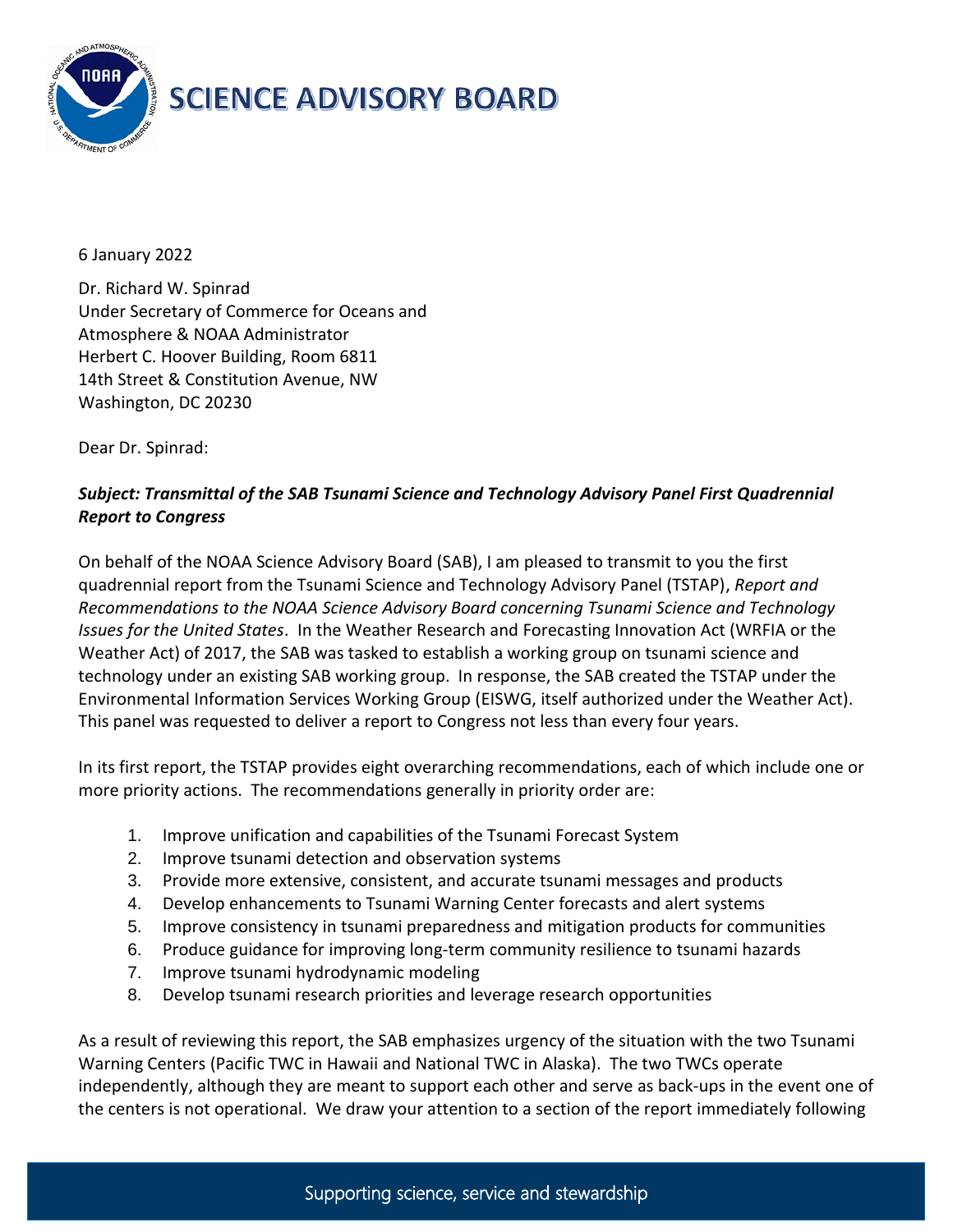

6 January 2022

Dr. Richard W. Spinrad Under Secretary of Commerce for Oceans and Atmosphere & NOAA Administrator Herbert C. Hoover Building, Room 6811 14th Street & Constitution Avenue, NW Washington, DC 20230

Dear Dr. Spinrad:

#### *Subject: Transmittal of the SAB Tsunami Science and Technology Advisory Panel First Quadrennial Report to Congress*

On behalf of the NOAA Science Advisory Board (SAB), I am pleased to transmit to you the first quadrennial report from the Tsunami Science and Technology Advisory Panel (TSTAP), *Report and Recommendations to the NOAA Science Advisory Board concerning Tsunami Science and Technology Issues for the United States*. In the Weather Research and Forecasting Innovation Act (WRFIA or the Weather Act) of 2017, the SAB was tasked to establish a working group on tsunami science and technology under an existing SAB working group. In response, the SAB created the TSTAP under the Environmental Information Services Working Group (EISWG, itself authorized under the Weather Act). This panel was requested to deliver a report to Congress not less than every four years.

In its first report, the TSTAP provides eight overarching recommendations, each of which include one or more priority actions. The recommendations generally in priority order are:

- 1. Improve unification and capabilities of the Tsunami Forecast System
- 2. Improve tsunami detection and observation systems
- 3. Provide more extensive, consistent, and accurate tsunami messages and products
- 4. Develop enhancements to Tsunami Warning Center forecasts and alert systems
- 5. Improve consistency in tsunami preparedness and mitigation products for communities
- 6. Produce guidance for improving long-term community resilience to tsunami hazards
- 7. Improve tsunami hydrodynamic modeling
- 8. Develop tsunami research priorities and leverage research opportunities

As a result of reviewing this report, the SAB emphasizes urgency of the situation with the two Tsunami Warning Centers (Pacific TWC in Hawaii and National TWC in Alaska). The two TWCs operate independently, although they are meant to support each other and serve as back-ups in the event one of the centers is not operational. We draw your attention to a section of the report immediately following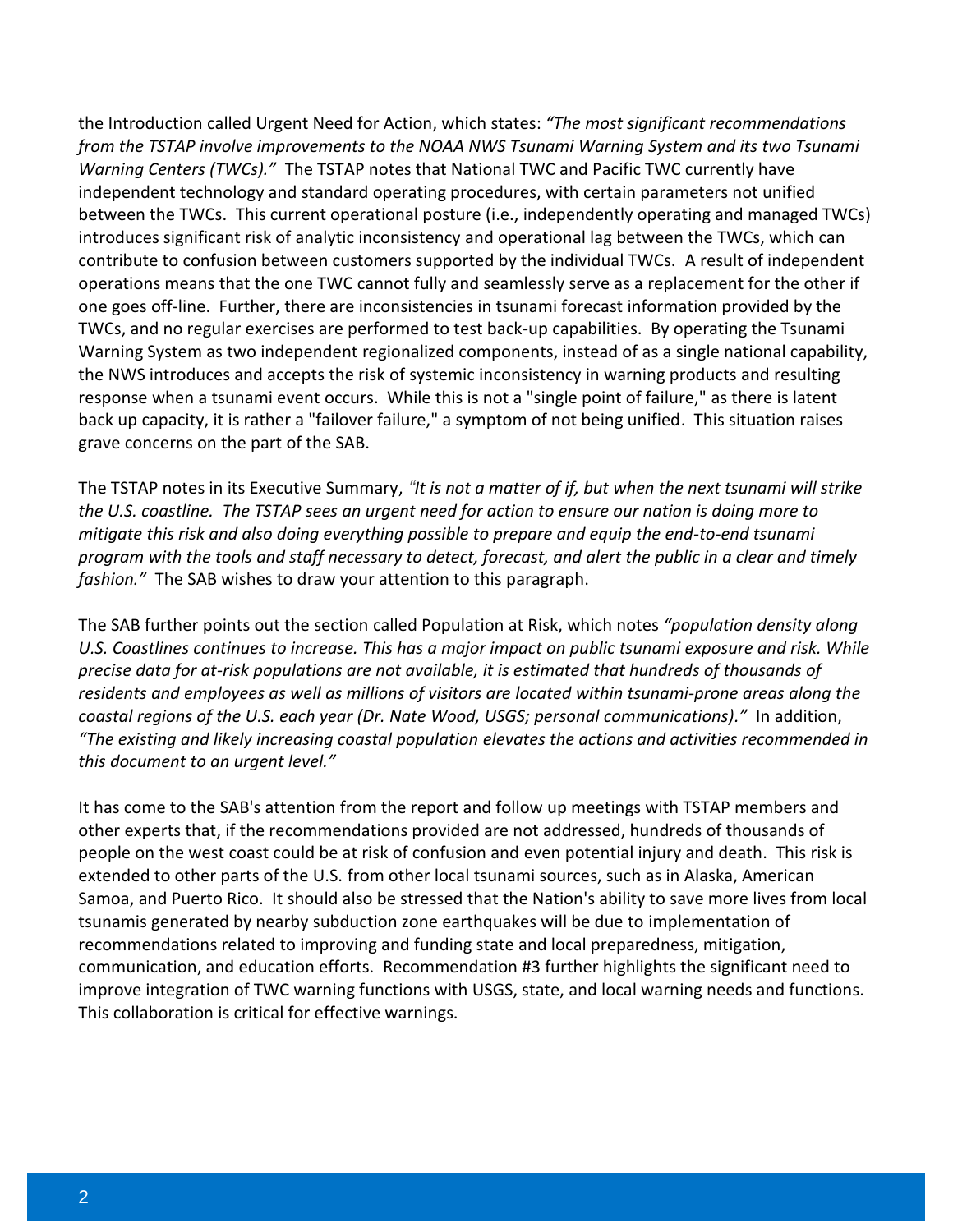the Introduction called Urgent Need for Action, which states: *"The most significant recommendations from the TSTAP involve improvements to the NOAA NWS Tsunami Warning System and its two Tsunami Warning Centers (TWCs)."* The TSTAP notes that National TWC and Pacific TWC currently have independent technology and standard operating procedures, with certain parameters not unified between the TWCs. This current operational posture (i.e., independently operating and managed TWCs) introduces significant risk of analytic inconsistency and operational lag between the TWCs, which can contribute to confusion between customers supported by the individual TWCs. A result of independent operations means that the one TWC cannot fully and seamlessly serve as a replacement for the other if one goes off-line. Further, there are inconsistencies in tsunami forecast information provided by the TWCs, and no regular exercises are performed to test back-up capabilities. By operating the Tsunami Warning System as two independent regionalized components, instead of as a single national capability, the NWS introduces and accepts the risk of systemic inconsistency in warning products and resulting response when a tsunami event occurs. While this is not a "single point of failure," as there is latent back up capacity, it is rather a "failover failure," a symptom of not being unified. This situation raises grave concerns on the part of the SAB.

The TSTAP notes in its Executive Summary, *"It is not a matter of if, but when the next tsunami will strike the U.S. coastline. The TSTAP sees an urgent need for action to ensure our nation is doing more to mitigate this risk and also doing everything possible to prepare and equip the end-to-end tsunami program with the tools and staff necessary to detect, forecast, and alert the public in a clear and timely fashion."* The SAB wishes to draw your attention to this paragraph.

The SAB further points out the section called Population at Risk, which notes *"population density along U.S. Coastlines continues to increase. This has a major impact on public tsunami exposure and risk. While precise data for at-risk populations are not available, it is estimated that hundreds of thousands of residents and employees as well as millions of visitors are located within tsunami-prone areas along the coastal regions of the U.S. each year (Dr. Nate Wood, USGS; personal communications)."* In addition, *"The existing and likely increasing coastal population elevates the actions and activities recommended in this document to an urgent level."*

It has come to the SAB's attention from the report and follow up meetings with TSTAP members and other experts that, if the recommendations provided are not addressed, hundreds of thousands of people on the west coast could be at risk of confusion and even potential injury and death. This risk is extended to other parts of the U.S. from other local tsunami sources, such as in Alaska, American Samoa, and Puerto Rico. It should also be stressed that the Nation's ability to save more lives from local tsunamis generated by nearby subduction zone earthquakes will be due to implementation of recommendations related to improving and funding state and local preparedness, mitigation, communication, and education efforts. Recommendation #3 further highlights the significant need to improve integration of TWC warning functions with USGS, state, and local warning needs and functions. This collaboration is critical for effective warnings.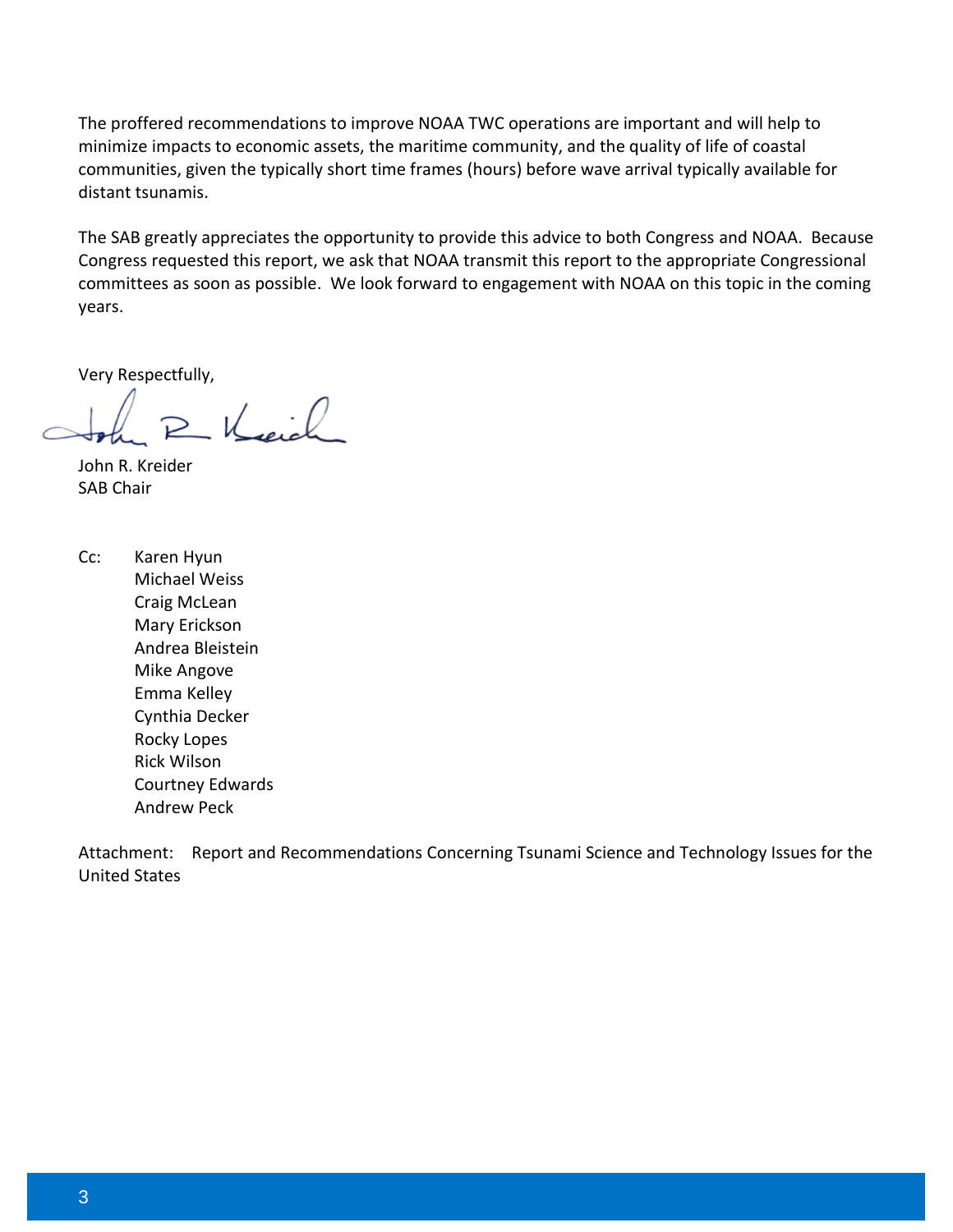The proffered recommendations to improve NOAA TWC operations are important and will help to minimize impacts to economic assets, the maritime community, and the quality of life of coastal communities, given the typically short time frames (hours) before wave arrival typically available for distant tsunamis.

The SAB greatly appreciates the opportunity to provide this advice to both Congress and NOAA. Because Congress requested this report, we ask that NOAA transmit this report to the appropriate Congressional committees as soon as possible. We look forward to engagement with NOAA on this topic in the coming years.

Very Respectfully,

R Keich

John R. Kreider SAB Chair

Cc: Karen Hyun Michael Weiss Craig McLean Mary Erickson Andrea Bleistein Mike Angove Emma Kelley Cynthia Decker Rocky Lopes Rick Wilson Courtney Edwards Andrew Peck

Attachment: Report and Recommendations Concerning Tsunami Science and Technology Issues for the United States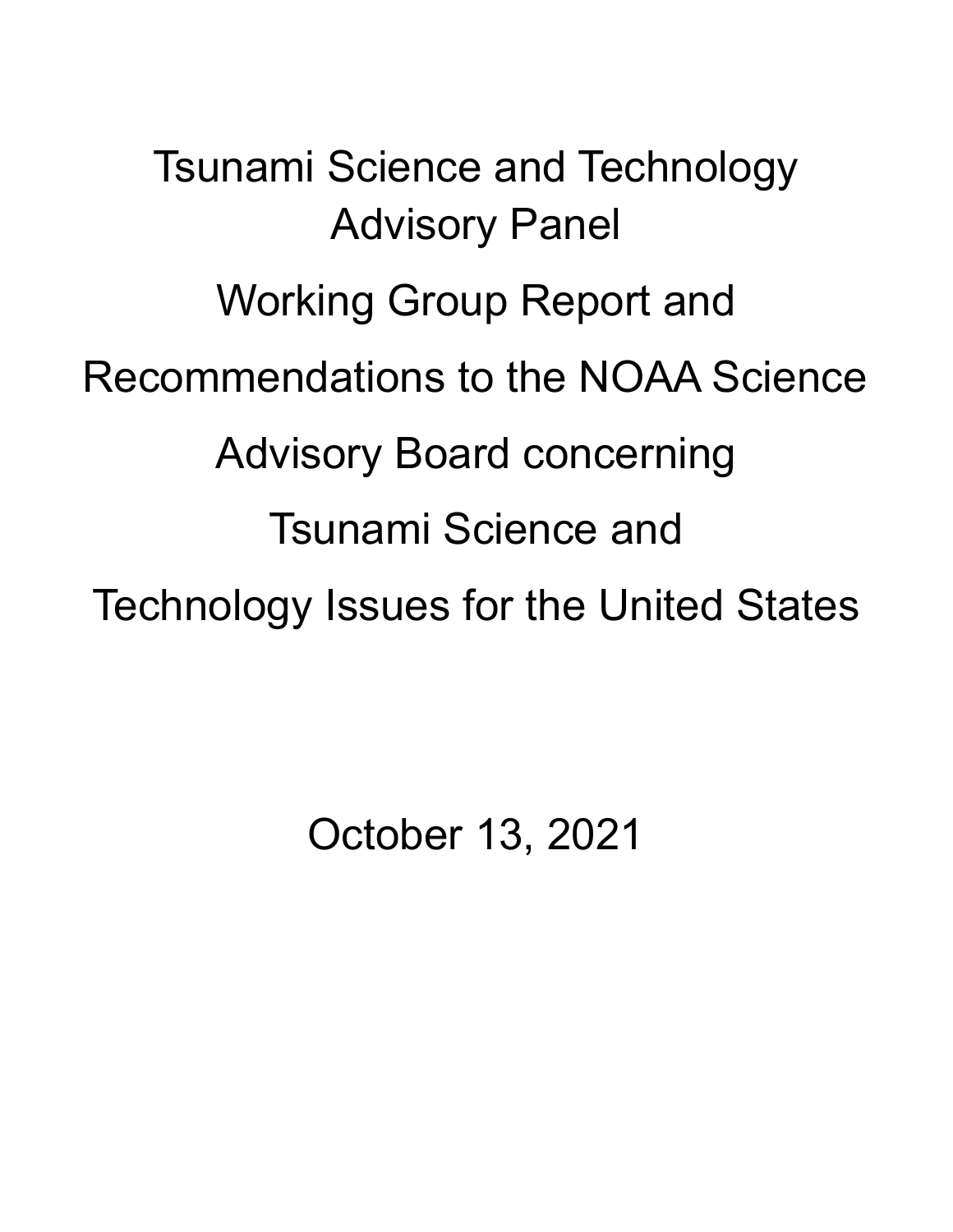Tsunami Science and Technology Advisory Panel Working Group Report and Recommendations to the NOAA Science Advisory Board concerning Tsunami Science and Technology Issues for the United States

October 13, 2021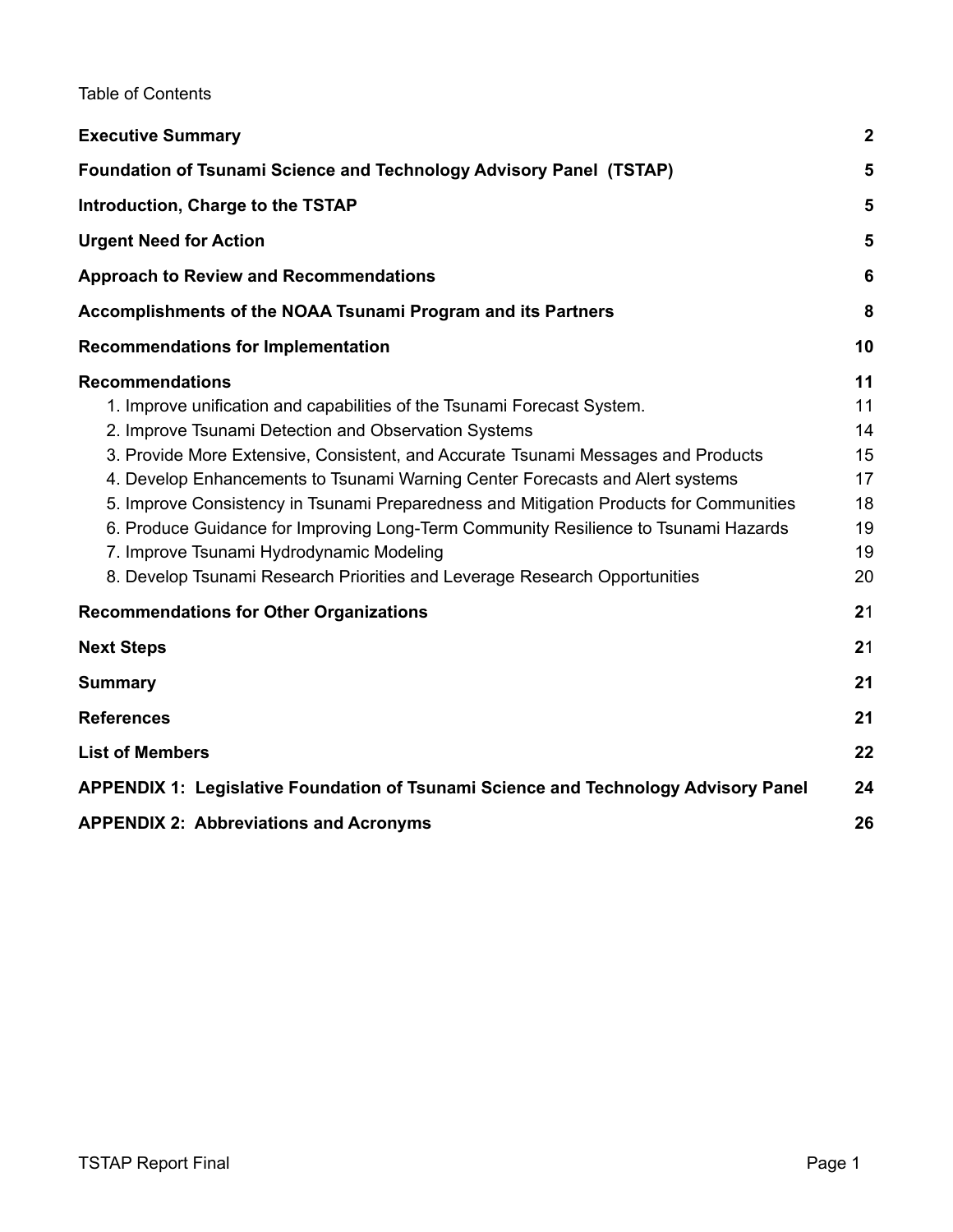Table of Contents

| <b>Executive Summary</b>                                                                                                                                                                                                                                                                                                                                                                                                                                                                                                                                                                                                                   | $\mathbf{2}$                                       |
|--------------------------------------------------------------------------------------------------------------------------------------------------------------------------------------------------------------------------------------------------------------------------------------------------------------------------------------------------------------------------------------------------------------------------------------------------------------------------------------------------------------------------------------------------------------------------------------------------------------------------------------------|----------------------------------------------------|
| <b>Foundation of Tsunami Science and Technology Advisory Panel (TSTAP)</b>                                                                                                                                                                                                                                                                                                                                                                                                                                                                                                                                                                 | 5                                                  |
| Introduction, Charge to the TSTAP                                                                                                                                                                                                                                                                                                                                                                                                                                                                                                                                                                                                          | 5                                                  |
| <b>Urgent Need for Action</b>                                                                                                                                                                                                                                                                                                                                                                                                                                                                                                                                                                                                              | 5                                                  |
| <b>Approach to Review and Recommendations</b>                                                                                                                                                                                                                                                                                                                                                                                                                                                                                                                                                                                              | 6                                                  |
| Accomplishments of the NOAA Tsunami Program and its Partners                                                                                                                                                                                                                                                                                                                                                                                                                                                                                                                                                                               | 8                                                  |
| <b>Recommendations for Implementation</b>                                                                                                                                                                                                                                                                                                                                                                                                                                                                                                                                                                                                  | 10                                                 |
| <b>Recommendations</b><br>1. Improve unification and capabilities of the Tsunami Forecast System.<br>2. Improve Tsunami Detection and Observation Systems<br>3. Provide More Extensive, Consistent, and Accurate Tsunami Messages and Products<br>4. Develop Enhancements to Tsunami Warning Center Forecasts and Alert systems<br>5. Improve Consistency in Tsunami Preparedness and Mitigation Products for Communities<br>6. Produce Guidance for Improving Long-Term Community Resilience to Tsunami Hazards<br>7. Improve Tsunami Hydrodynamic Modeling<br>8. Develop Tsunami Research Priorities and Leverage Research Opportunities | 11<br>11<br>14<br>15<br>17<br>18<br>19<br>19<br>20 |
| <b>Recommendations for Other Organizations</b>                                                                                                                                                                                                                                                                                                                                                                                                                                                                                                                                                                                             | 21                                                 |
| <b>Next Steps</b>                                                                                                                                                                                                                                                                                                                                                                                                                                                                                                                                                                                                                          | 21                                                 |
| <b>Summary</b>                                                                                                                                                                                                                                                                                                                                                                                                                                                                                                                                                                                                                             | 21                                                 |
| <b>References</b>                                                                                                                                                                                                                                                                                                                                                                                                                                                                                                                                                                                                                          | 21                                                 |
| <b>List of Members</b>                                                                                                                                                                                                                                                                                                                                                                                                                                                                                                                                                                                                                     | 22                                                 |
| APPENDIX 1: Legislative Foundation of Tsunami Science and Technology Advisory Panel                                                                                                                                                                                                                                                                                                                                                                                                                                                                                                                                                        | 24                                                 |
| <b>APPENDIX 2: Abbreviations and Acronyms</b>                                                                                                                                                                                                                                                                                                                                                                                                                                                                                                                                                                                              | 26                                                 |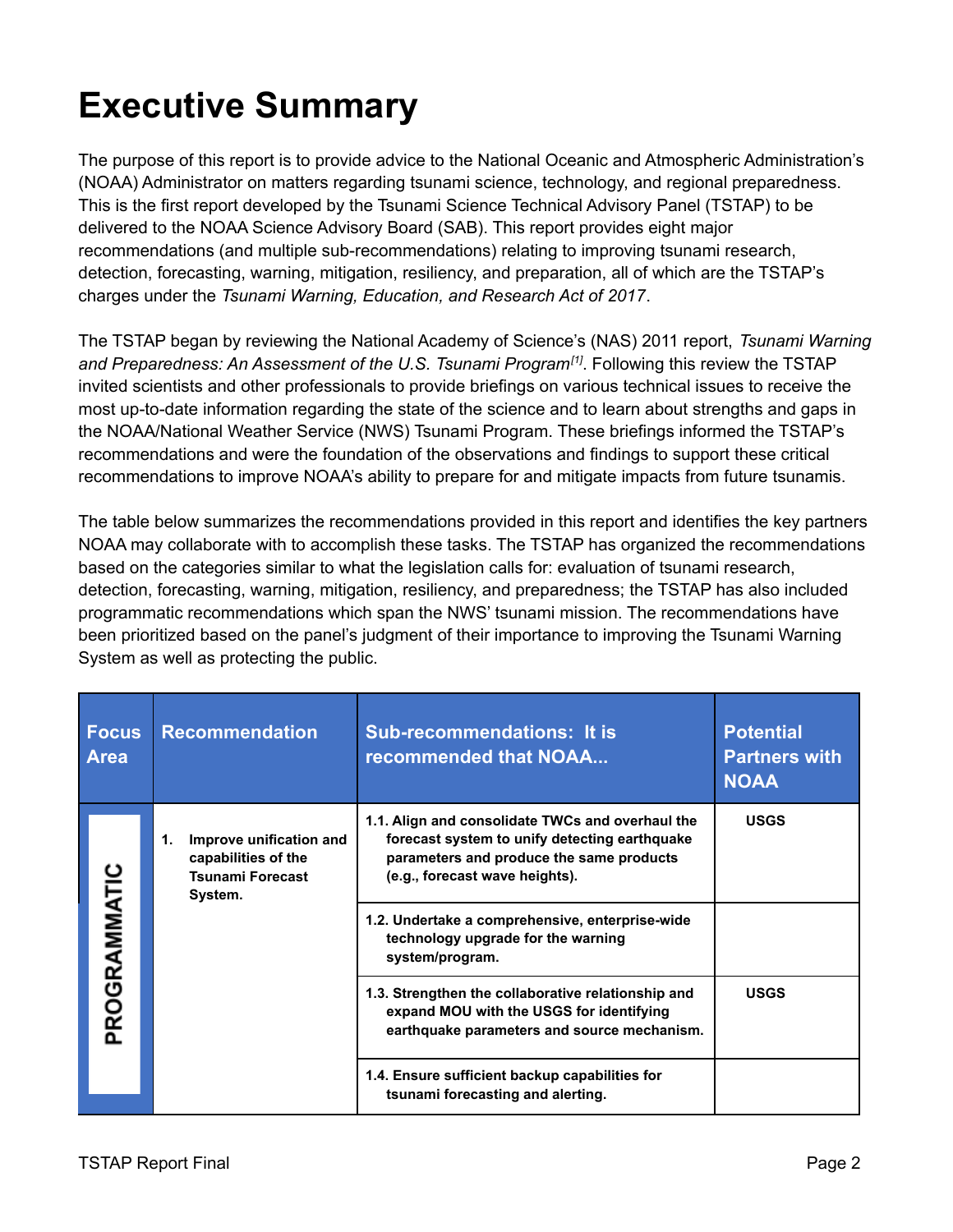# <span id="page-6-0"></span>**Executive Summary**

The purpose of this report is to provide advice to the National Oceanic and Atmospheric Administration's (NOAA) Administrator on matters regarding tsunami science, technology, and regional preparedness. This is the first report developed by the Tsunami Science Technical Advisory Panel (TSTAP) to be delivered to the NOAA Science Advisory Board (SAB). This report provides eight major recommendations (and multiple sub-recommendations) relating to improving tsunami research, detection, forecasting, warning, mitigation, resiliency, and preparation, all of which are the TSTAP's charges under the *Tsunami Warning, Education, and Research Act of 2017*.

The TSTAP began by reviewing the National Academy of Science's (NAS) 2011 report, *Tsunami Warning and Preparedness: An Assessment of the U.S. Tsunami Program[1]* . Following this review the TSTAP invited scientists and other professionals to provide briefings on various technical issues to receive the most up-to-date information regarding the state of the science and to learn about strengths and gaps in the NOAA/National Weather Service (NWS) Tsunami Program. These briefings informed the TSTAP's recommendations and were the foundation of the observations and findings to support these critical recommendations to improve NOAA's ability to prepare for and mitigate impacts from future tsunamis.

The table below summarizes the recommendations provided in this report and identifies the key partners NOAA may collaborate with to accomplish these tasks. The TSTAP has organized the recommendations based on the categories similar to what the legislation calls for: evaluation of tsunami research, detection, forecasting, warning, mitigation, resiliency, and preparedness; the TSTAP has also included programmatic recommendations which span the NWS' tsunami mission. The recommendations have been prioritized based on the panel's judgment of their importance to improving the Tsunami Warning System as well as protecting the public.

| <b>Focus</b><br><b>Area</b> | <b>Recommendation</b>                                                                      | <b>Sub-recommendations: It is</b><br>recommended that NOAA                                                                                                                      | <b>Potential</b><br><b>Partners with</b><br><b>NOAA</b> |
|-----------------------------|--------------------------------------------------------------------------------------------|---------------------------------------------------------------------------------------------------------------------------------------------------------------------------------|---------------------------------------------------------|
| PROGRAMMATIC                | Improve unification and<br>1.<br>capabilities of the<br><b>Tsunami Forecast</b><br>System. | 1.1. Align and consolidate TWCs and overhaul the<br>forecast system to unify detecting earthquake<br>parameters and produce the same products<br>(e.g., forecast wave heights). | <b>USGS</b>                                             |
|                             |                                                                                            | 1.2. Undertake a comprehensive, enterprise-wide<br>technology upgrade for the warning<br>system/program.                                                                        |                                                         |
|                             |                                                                                            | 1.3. Strengthen the collaborative relationship and<br>expand MOU with the USGS for identifying<br>earthquake parameters and source mechanism.                                   | <b>USGS</b>                                             |
|                             |                                                                                            | 1.4. Ensure sufficient backup capabilities for<br>tsunami forecasting and alerting.                                                                                             |                                                         |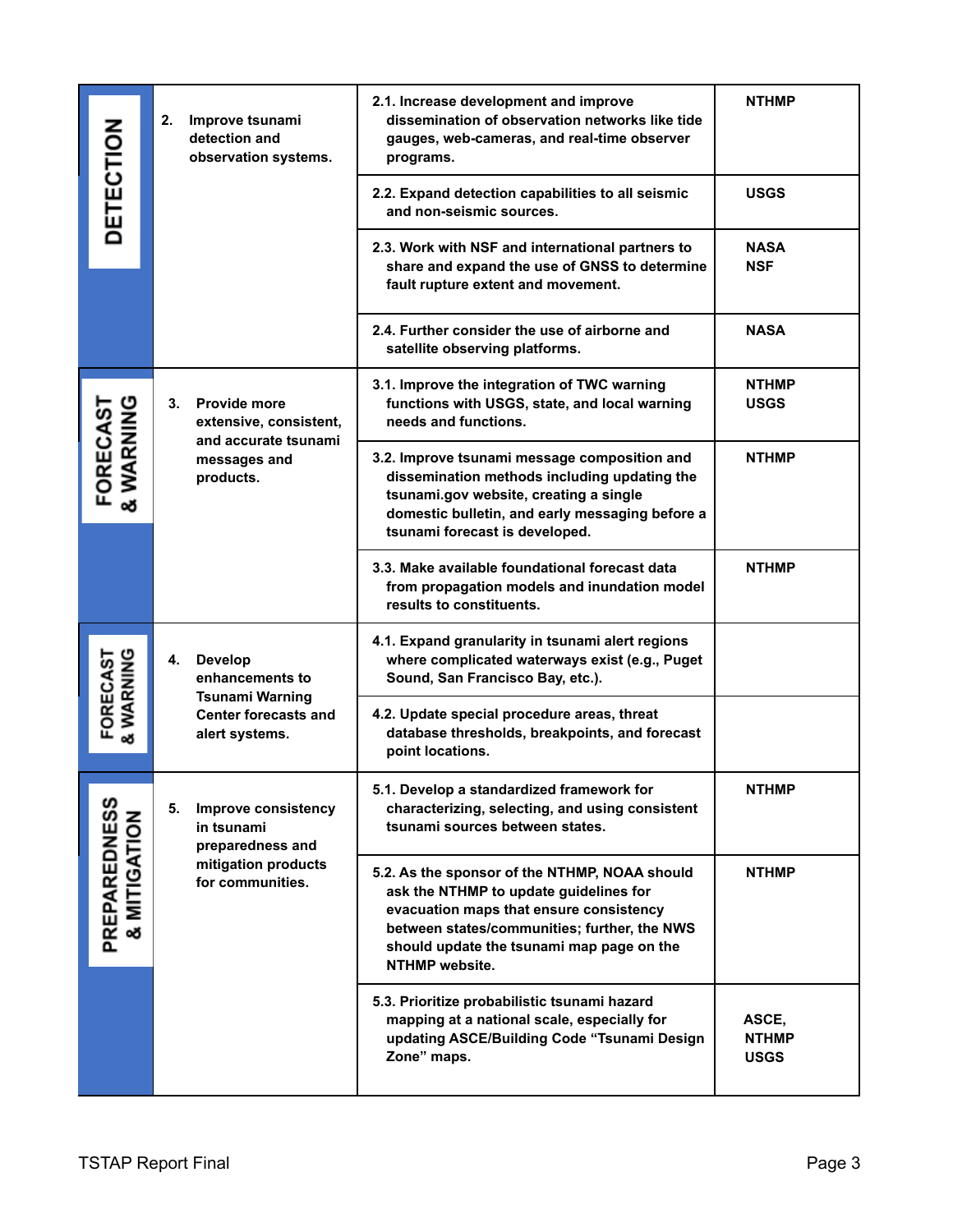| <b>DETECTION</b>                        | 2.<br>Improve tsunami<br>detection and<br>observation systems.                                                     | 2.1. Increase development and improve<br>dissemination of observation networks like tide<br>gauges, web-cameras, and real-time observer<br>programs.                                                                                                     | <b>NTHMP</b>                         |
|-----------------------------------------|--------------------------------------------------------------------------------------------------------------------|----------------------------------------------------------------------------------------------------------------------------------------------------------------------------------------------------------------------------------------------------------|--------------------------------------|
|                                         |                                                                                                                    | 2.2. Expand detection capabilities to all seismic<br>and non-seismic sources.                                                                                                                                                                            | <b>USGS</b>                          |
|                                         |                                                                                                                    | 2.3. Work with NSF and international partners to<br>share and expand the use of GNSS to determine<br>fault rupture extent and movement.                                                                                                                  | <b>NASA</b><br><b>NSF</b>            |
|                                         |                                                                                                                    | 2.4. Further consider the use of airborne and<br>satellite observing platforms.                                                                                                                                                                          | <b>NASA</b>                          |
|                                         | <b>Provide more</b><br>3.<br>extensive, consistent,<br>and accurate tsunami<br>messages and<br>products.           | 3.1. Improve the integration of TWC warning<br>functions with USGS, state, and local warning<br>needs and functions.                                                                                                                                     | <b>NTHMP</b><br><b>USGS</b>          |
| FORECAST<br>& WARNING                   |                                                                                                                    | 3.2. Improve tsunami message composition and<br>dissemination methods including updating the<br>tsunami.gov website, creating a single<br>domestic bulletin, and early messaging before a<br>tsunami forecast is developed.                              | <b>NTHMP</b>                         |
|                                         |                                                                                                                    | 3.3. Make available foundational forecast data<br>from propagation models and inundation model<br>results to constituents.                                                                                                                               | <b>NTHMP</b>                         |
| FORECAST<br>& WARNING                   | <b>Develop</b><br>4.<br>enhancements to<br><b>Tsunami Warning</b><br><b>Center forecasts and</b><br>alert systems. | 4.1. Expand granularity in tsunami alert regions<br>where complicated waterways exist (e.g., Puget<br>Sound, San Francisco Bay, etc.).                                                                                                                   |                                      |
|                                         |                                                                                                                    | 4.2. Update special procedure areas, threat<br>database thresholds, breakpoints, and forecast<br>point locations.                                                                                                                                        |                                      |
| ທ                                       | 5.<br><b>Improve consistency</b><br>in tsunami<br>preparedness and                                                 | 5.1. Develop a standardized framework for<br>characterizing, selecting, and using consistent<br>tsunami sources between states.                                                                                                                          | <b>NTHMP</b>                         |
| <b>PREPAREDNES<br/>&amp; MITIGATION</b> | mitigation products<br>for communities.                                                                            | 5.2. As the sponsor of the NTHMP, NOAA should<br>ask the NTHMP to update guidelines for<br>evacuation maps that ensure consistency<br>between states/communities; further, the NWS<br>should update the tsunami map page on the<br><b>NTHMP</b> website. | <b>NTHMP</b>                         |
|                                         |                                                                                                                    | 5.3. Prioritize probabilistic tsunami hazard<br>mapping at a national scale, especially for<br>updating ASCE/Building Code "Tsunami Design<br>Zone" maps.                                                                                                | ASCE,<br><b>NTHMP</b><br><b>USGS</b> |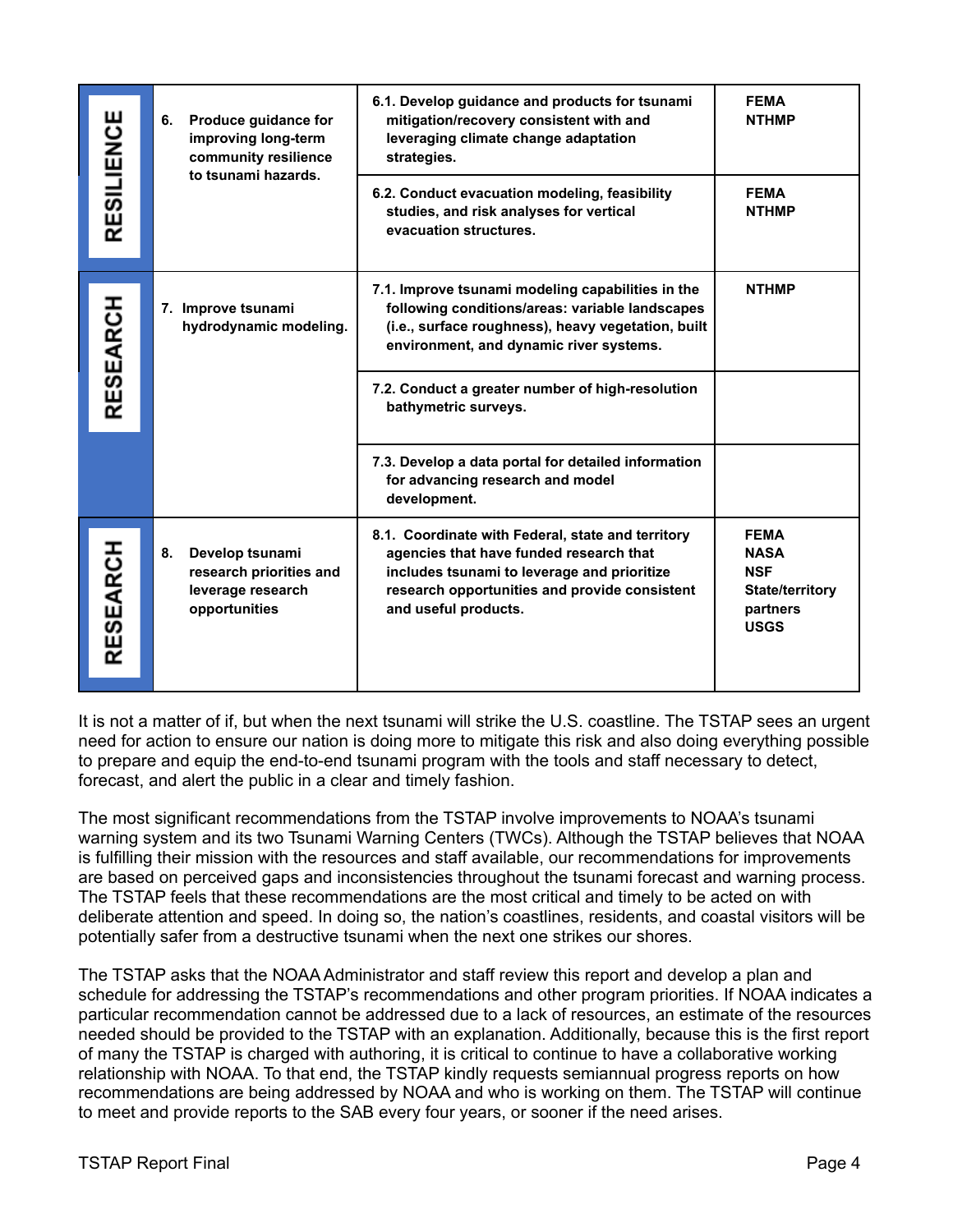| RESILIENCE | Produce guidance for<br>6.<br>improving long-term<br>community resilience<br>to tsunami hazards. | 6.1. Develop guidance and products for tsunami<br>mitigation/recovery consistent with and<br>leveraging climate change adaptation<br>strategies.                                                                     | <b>FEMA</b><br><b>NTHMP</b>                                                                   |
|------------|--------------------------------------------------------------------------------------------------|----------------------------------------------------------------------------------------------------------------------------------------------------------------------------------------------------------------------|-----------------------------------------------------------------------------------------------|
|            |                                                                                                  | 6.2. Conduct evacuation modeling, feasibility<br>studies, and risk analyses for vertical<br>evacuation structures.                                                                                                   | <b>FEMA</b><br><b>NTHMP</b>                                                                   |
| RESEARCH   | 7. Improve tsunami<br>hydrodynamic modeling.                                                     | 7.1. Improve tsunami modeling capabilities in the<br>following conditions/areas: variable landscapes<br>(i.e., surface roughness), heavy vegetation, built<br>environment, and dynamic river systems.                | <b>NTHMP</b>                                                                                  |
|            |                                                                                                  | 7.2. Conduct a greater number of high-resolution<br>bathymetric surveys.                                                                                                                                             |                                                                                               |
|            |                                                                                                  | 7.3. Develop a data portal for detailed information<br>for advancing research and model<br>development.                                                                                                              |                                                                                               |
| RESEARCH   | Develop tsunami<br>8.<br>research priorities and<br>leverage research<br>opportunities           | 8.1. Coordinate with Federal, state and territory<br>agencies that have funded research that<br>includes tsunami to leverage and prioritize<br>research opportunities and provide consistent<br>and useful products. | <b>FEMA</b><br><b>NASA</b><br><b>NSF</b><br><b>State/territory</b><br>partners<br><b>USGS</b> |

It is not a matter of if, but when the next tsunami will strike the U.S. coastline. The TSTAP sees an urgent need for action to ensure our nation is doing more to mitigate this risk and also doing everything possible to prepare and equip the end-to-end tsunami program with the tools and staff necessary to detect, forecast, and alert the public in a clear and timely fashion.

The most significant recommendations from the TSTAP involve improvements to NOAA's tsunami warning system and its two Tsunami Warning Centers (TWCs). Although the TSTAP believes that NOAA is fulfilling their mission with the resources and staff available, our recommendations for improvements are based on perceived gaps and inconsistencies throughout the tsunami forecast and warning process. The TSTAP feels that these recommendations are the most critical and timely to be acted on with deliberate attention and speed. In doing so, the nation's coastlines, residents, and coastal visitors will be potentially safer from a destructive tsunami when the next one strikes our shores.

The TSTAP asks that the NOAA Administrator and staff review this report and develop a plan and schedule for addressing the TSTAP's recommendations and other program priorities. If NOAA indicates a particular recommendation cannot be addressed due to a lack of resources, an estimate of the resources needed should be provided to the TSTAP with an explanation. Additionally, because this is the first report of many the TSTAP is charged with authoring, it is critical to continue to have a collaborative working relationship with NOAA. To that end, the TSTAP kindly requests semiannual progress reports on how recommendations are being addressed by NOAA and who is working on them. The TSTAP will continue to meet and provide reports to the SAB every four years, or sooner if the need arises.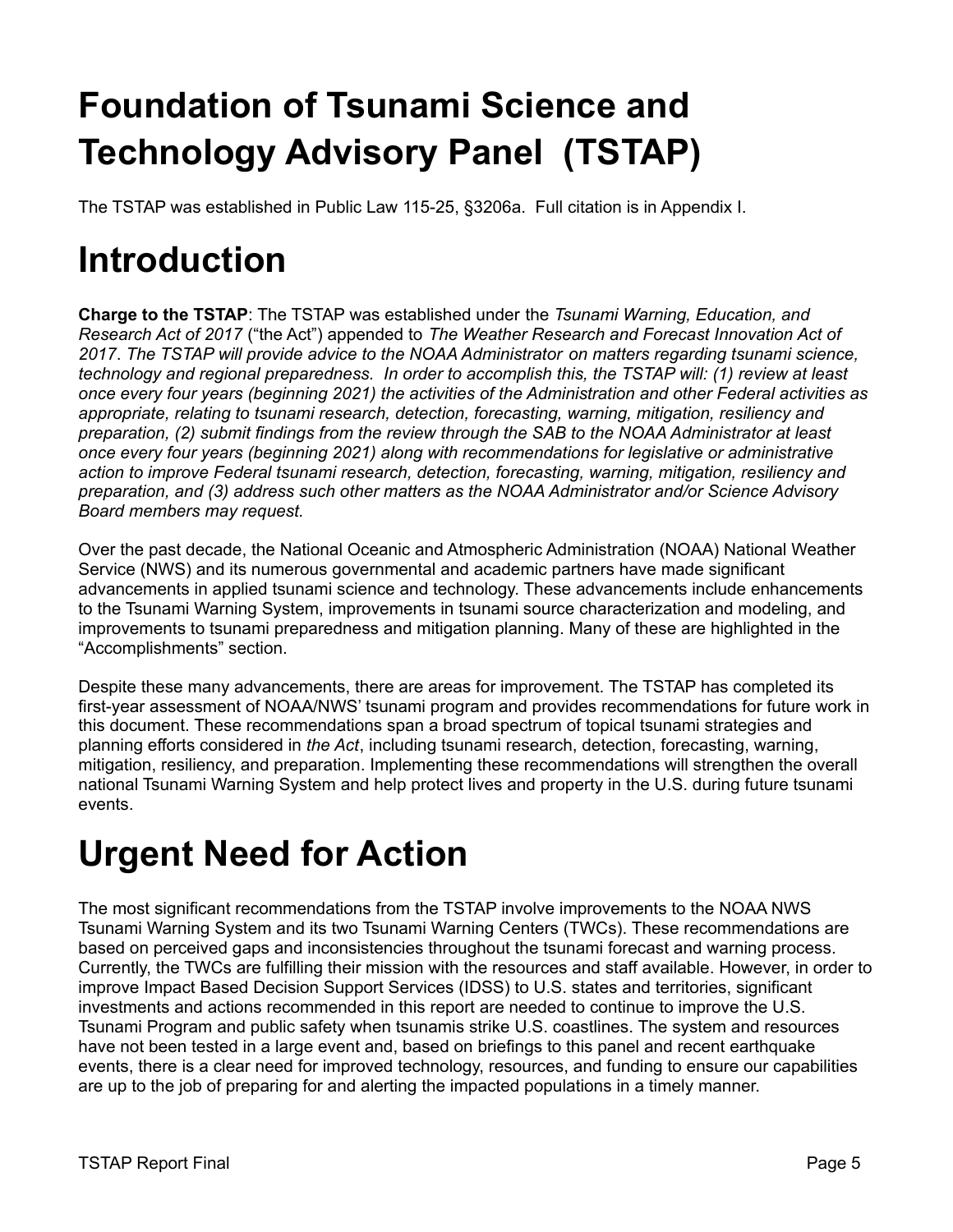# <span id="page-9-0"></span>**Foundation of Tsunami Science and Technology Advisory Panel (TSTAP)**

The TSTAP was established in Public Law 115-25, §3206a. Full citation is in Appendix I.

# <span id="page-9-1"></span>**Introduction**

**Charge to the TSTAP**: The TSTAP was established under the *Tsunami Warning, Education, and Research Act of 2017* ("the Act") appended to *The Weather Research and Forecast Innovation Act of 2017*. *The TSTAP will provide advice to the NOAA Administrator on matters regarding tsunami science, technology and regional preparedness. In order to accomplish this, the TSTAP will: (1) review at least once every four years (beginning 2021) the activities of the Administration and other Federal activities as appropriate, relating to tsunami research, detection, forecasting, warning, mitigation, resiliency and preparation, (2) submit findings from the review through the SAB to the NOAA Administrator at least once every four years (beginning 2021) along with recommendations for legislative or administrative action to improve Federal tsunami research, detection, forecasting, warning, mitigation, resiliency and preparation, and (3) address such other matters as the NOAA Administrator and/or Science Advisory Board members may request.*

Over the past decade, the National Oceanic and Atmospheric Administration (NOAA) National Weather Service (NWS) and its numerous governmental and academic partners have made significant advancements in applied tsunami science and technology. These advancements include enhancements to the Tsunami Warning System, improvements in tsunami source characterization and modeling, and improvements to tsunami preparedness and mitigation planning. Many of these are highlighted in the "Accomplishments" section.

Despite these many advancements, there are areas for improvement. The TSTAP has completed its first-year assessment of NOAA/NWS' tsunami program and provides recommendations for future work in this document. These recommendations span a broad spectrum of topical tsunami strategies and planning efforts considered in *the Act*, including tsunami research, detection, forecasting, warning, mitigation, resiliency, and preparation. Implementing these recommendations will strengthen the overall national Tsunami Warning System and help protect lives and property in the U.S. during future tsunami events.

## <span id="page-9-2"></span>**Urgent Need for Action**

The most significant recommendations from the TSTAP involve improvements to the NOAA NWS Tsunami Warning System and its two Tsunami Warning Centers (TWCs). These recommendations are based on perceived gaps and inconsistencies throughout the tsunami forecast and warning process. Currently, the TWCs are fulfilling their mission with the resources and staff available. However, in order to improve Impact Based Decision Support Services (IDSS) to U.S. states and territories, significant investments and actions recommended in this report are needed to continue to improve the U.S. Tsunami Program and public safety when tsunamis strike U.S. coastlines. The system and resources have not been tested in a large event and, based on briefings to this panel and recent earthquake events, there is a clear need for improved technology, resources, and funding to ensure our capabilities are up to the job of preparing for and alerting the impacted populations in a timely manner.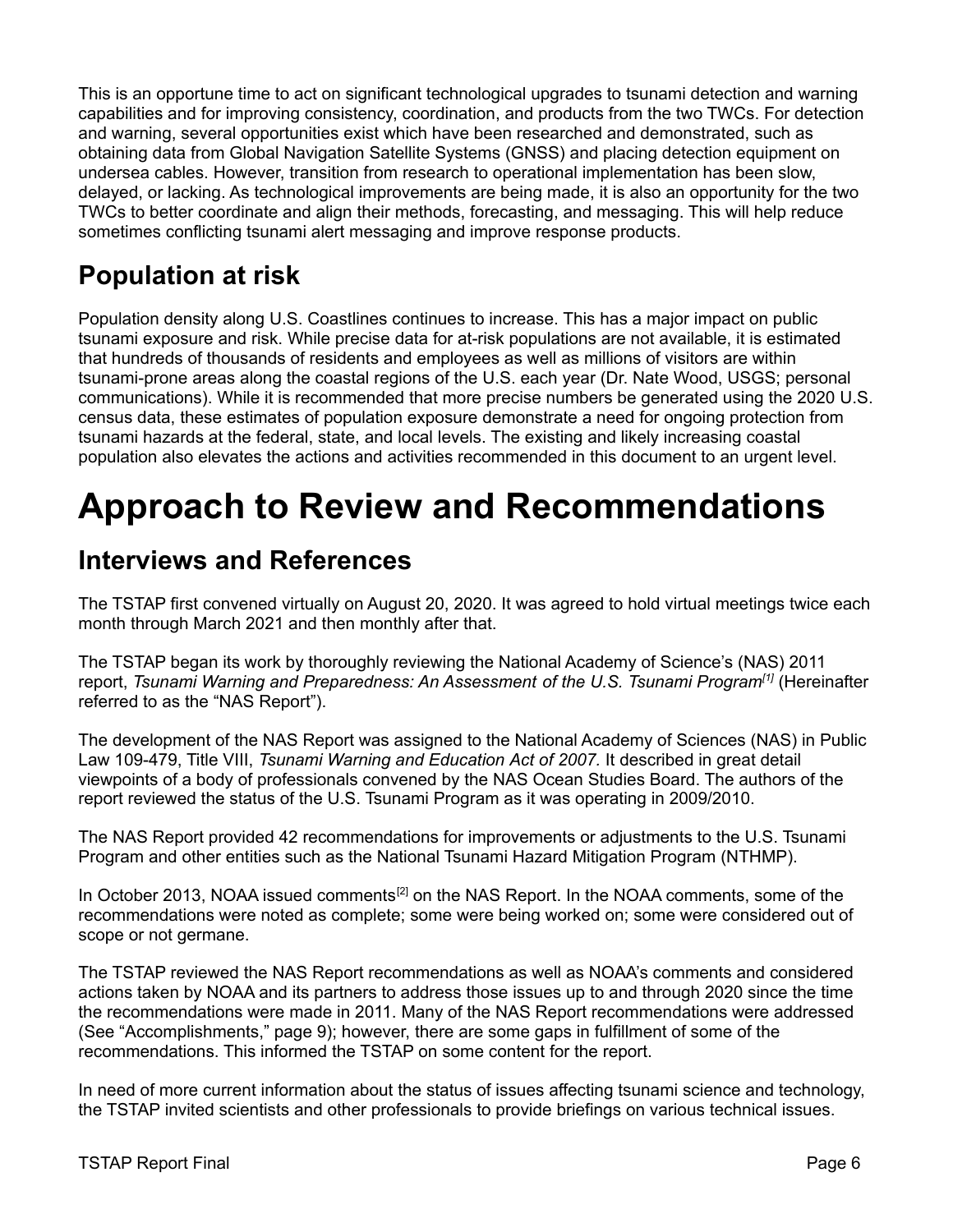This is an opportune time to act on significant technological upgrades to tsunami detection and warning capabilities and for improving consistency, coordination, and products from the two TWCs. For detection and warning, several opportunities exist which have been researched and demonstrated, such as obtaining data from Global Navigation Satellite Systems (GNSS) and placing detection equipment on undersea cables. However, transition from research to operational implementation has been slow, delayed, or lacking. As technological improvements are being made, it is also an opportunity for the two TWCs to better coordinate and align their methods, forecasting, and messaging. This will help reduce sometimes conflicting tsunami alert messaging and improve response products.

### **Population at risk**

Population density along U.S. Coastlines continues to increase. This has a major impact on public tsunami exposure and risk. While precise data for at-risk populations are not available, it is estimated that hundreds of thousands of residents and employees as well as millions of visitors are within tsunami-prone areas along the coastal regions of the U.S. each year (Dr. Nate Wood, USGS; personal communications). While it is recommended that more precise numbers be generated using the 2020 U.S. census data, these estimates of population exposure demonstrate a need for ongoing protection from tsunami hazards at the federal, state, and local levels. The existing and likely increasing coastal population also elevates the actions and activities recommended in this document to an urgent level.

## **Approach to Review and Recommendations**

### **Interviews and References**

The TSTAP first convened virtually on August 20, 2020. It was agreed to hold virtual meetings twice each month through March 2021 and then monthly after that.

The TSTAP began its work by thoroughly reviewing the National Academy of Science's (NAS) 2011 report, *Tsunami Warning and Preparedness: An Assessment of the U.S. Tsunami Program[1]* (Hereinafter referred to as the "NAS Report").

The development of the NAS Report was assigned to the National Academy of Sciences (NAS) in Public Law 109-479, Title VIII, *Tsunami Warning and Education Act of 2007.* It described in great detail viewpoints of a body of professionals convened by the NAS Ocean Studies Board. The authors of the report reviewed the status of the U.S. Tsunami Program as it was operating in 2009/2010.

The NAS Report provided 42 recommendations for improvements or adjustments to the U.S. Tsunami Program and other entities such as the National Tsunami Hazard Mitigation Program (NTHMP).

In October 2013, NOAA issued comments<sup>[2]</sup> on the NAS Report. In the NOAA comments, some of the recommendations were noted as complete; some were being worked on; some were considered out of scope or not germane.

The TSTAP reviewed the NAS Report recommendations as well as NOAA's comments and considered actions taken by NOAA and its partners to address those issues up to and through 2020 since the time the recommendations were made in 2011. Many of the NAS Report recommendations were addressed (See "Accomplishments," page 9); however, there are some gaps in fulfillment of some of the recommendations. This informed the TSTAP on some content for the report.

In need of more current information about the status of issues affecting tsunami science and technology, the TSTAP invited scientists and other professionals to provide briefings on various technical issues.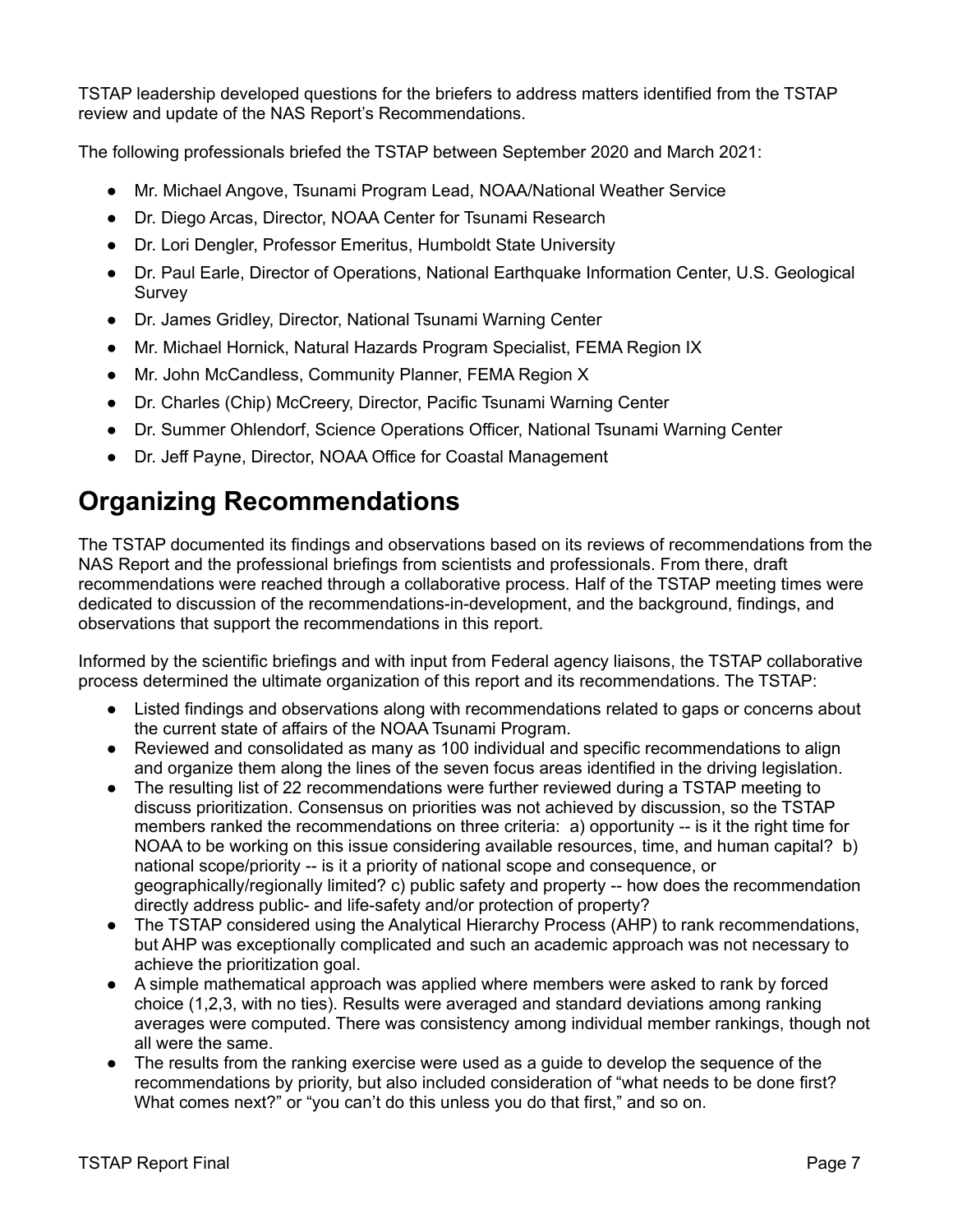TSTAP leadership developed questions for the briefers to address matters identified from the TSTAP review and update of the NAS Report's Recommendations.

The following professionals briefed the TSTAP between September 2020 and March 2021:

- Mr. Michael Angove, Tsunami Program Lead, NOAA/National Weather Service
- Dr. Diego Arcas, Director, NOAA Center for Tsunami Research
- Dr. Lori Dengler, Professor Emeritus, Humboldt State University
- Dr. Paul Earle, Director of Operations, National Earthquake Information Center, U.S. Geological Survey
- Dr. James Gridley, Director, National Tsunami Warning Center
- Mr. Michael Hornick, Natural Hazards Program Specialist, FEMA Region IX
- Mr. John McCandless, Community Planner, FEMA Region X
- Dr. Charles (Chip) McCreery, Director, Pacific Tsunami Warning Center
- Dr. Summer Ohlendorf, Science Operations Officer, National Tsunami Warning Center
- Dr. Jeff Payne, Director, NOAA Office for Coastal Management

### **Organizing Recommendations**

The TSTAP documented its findings and observations based on its reviews of recommendations from the NAS Report and the professional briefings from scientists and professionals. From there, draft recommendations were reached through a collaborative process. Half of the TSTAP meeting times were dedicated to discussion of the recommendations-in-development, and the background, findings, and observations that support the recommendations in this report.

Informed by the scientific briefings and with input from Federal agency liaisons, the TSTAP collaborative process determined the ultimate organization of this report and its recommendations. The TSTAP:

- Listed findings and observations along with recommendations related to gaps or concerns about the current state of affairs of the NOAA Tsunami Program.
- Reviewed and consolidated as many as 100 individual and specific recommendations to align and organize them along the lines of the seven focus areas identified in the driving legislation.
- The resulting list of 22 recommendations were further reviewed during a TSTAP meeting to discuss prioritization. Consensus on priorities was not achieved by discussion, so the TSTAP members ranked the recommendations on three criteria: a) opportunity -- is it the right time for NOAA to be working on this issue considering available resources, time, and human capital? b) national scope/priority -- is it a priority of national scope and consequence, or geographically/regionally limited? c) public safety and property -- how does the recommendation directly address public- and life-safety and/or protection of property?
- The TSTAP considered using the Analytical Hierarchy Process (AHP) to rank recommendations, but AHP was exceptionally complicated and such an academic approach was not necessary to achieve the prioritization goal.
- A simple mathematical approach was applied where members were asked to rank by forced choice (1,2,3, with no ties). Results were averaged and standard deviations among ranking averages were computed. There was consistency among individual member rankings, though not all were the same.
- The results from the ranking exercise were used as a guide to develop the sequence of the recommendations by priority, but also included consideration of "what needs to be done first? What comes next?" or "you can't do this unless you do that first," and so on.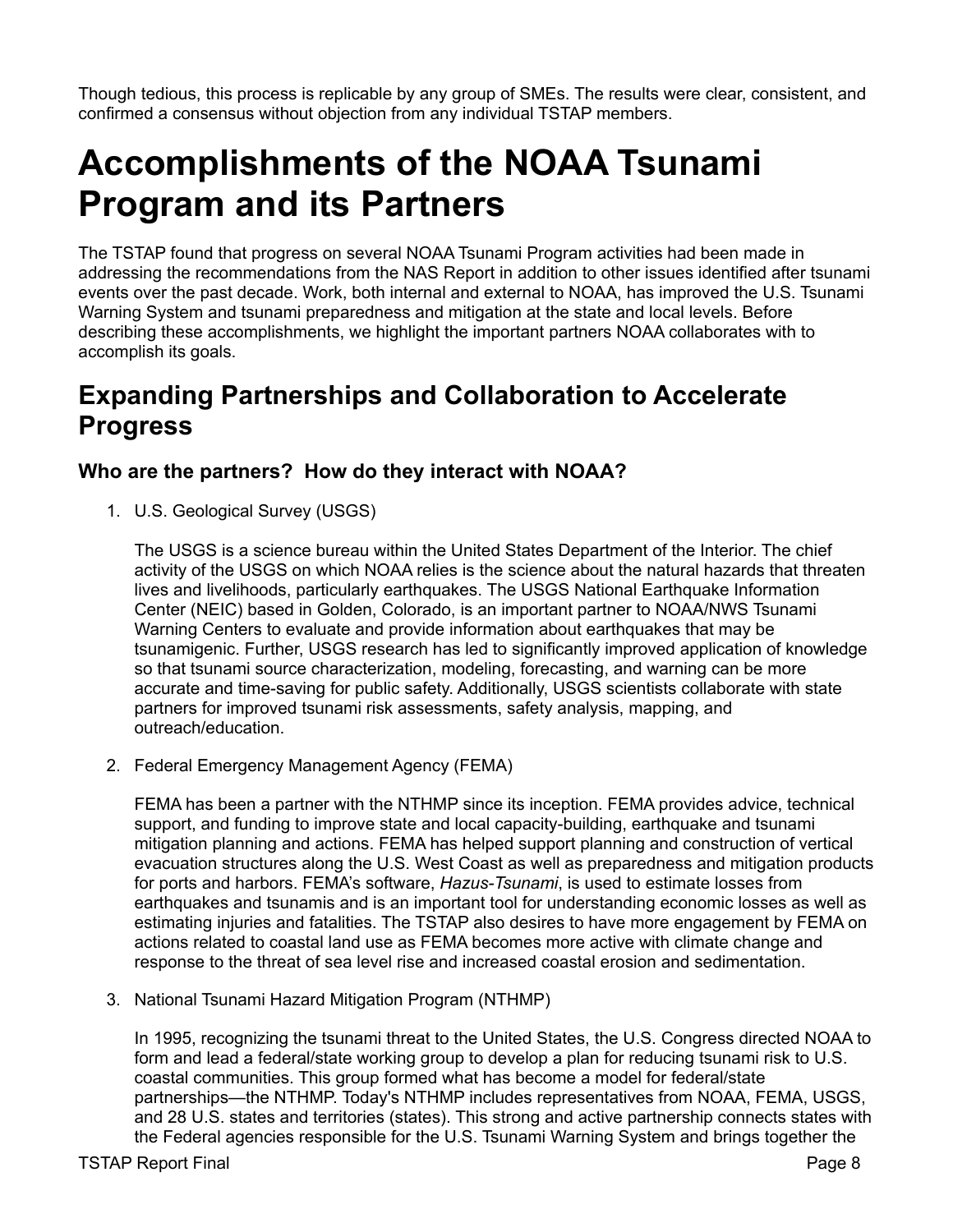Though tedious, this process is replicable by any group of SMEs. The results were clear, consistent, and confirmed a consensus without objection from any individual TSTAP members.

## <span id="page-12-0"></span>**Accomplishments of the NOAA Tsunami Program and its Partners**

The TSTAP found that progress on several NOAA Tsunami Program activities had been made in addressing the recommendations from the NAS Report in addition to other issues identified after tsunami events over the past decade. Work, both internal and external to NOAA, has improved the U.S. Tsunami Warning System and tsunami preparedness and mitigation at the state and local levels. Before describing these accomplishments, we highlight the important partners NOAA collaborates with to accomplish its goals.

### **Expanding Partnerships and Collaboration to Accelerate Progress**

#### **Who are the partners? How do they interact with NOAA?**

1. U.S. Geological Survey (USGS)

The USGS is a science bureau within the United States Department of the Interior. The chief activity of the USGS on which NOAA relies is the science about the natural hazards that threaten lives and livelihoods, particularly earthquakes. The USGS National Earthquake Information Center (NEIC) based in Golden, Colorado, is an important partner to NOAA/NWS Tsunami Warning Centers to evaluate and provide information about earthquakes that may be tsunamigenic. Further, USGS research has led to significantly improved application of knowledge so that tsunami source characterization, modeling, forecasting, and warning can be more accurate and time-saving for public safety. Additionally, USGS scientists collaborate with state partners for improved tsunami risk assessments, safety analysis, mapping, and outreach/education.

2. Federal Emergency Management Agency (FEMA)

FEMA has been a partner with the NTHMP since its inception. FEMA provides advice, technical support, and funding to improve state and local capacity-building, earthquake and tsunami mitigation planning and actions. FEMA has helped support planning and construction of vertical evacuation structures along the U.S. West Coast as well as preparedness and mitigation products for ports and harbors. FEMA's software, *Hazus-Tsunami*, is used to estimate losses from earthquakes and tsunamis and is an important tool for understanding economic losses as well as estimating injuries and fatalities. The TSTAP also desires to have more engagement by FEMA on actions related to coastal land use as FEMA becomes more active with climate change and response to the threat of sea level rise and increased coastal erosion and sedimentation.

3. National Tsunami Hazard Mitigation Program (NTHMP)

In 1995, recognizing the tsunami threat to the United States, the U.S. Congress directed NOAA to form and lead a federal/state working group to develop a plan for reducing tsunami risk to U.S. coastal communities. This group formed what has become a model for federal/state partnerships—the NTHMP. Today's NTHMP includes representatives from NOAA, FEMA, USGS, and 28 U.S. states and territories (states). This strong and active partnership connects states with the Federal agencies responsible for the U.S. Tsunami Warning System and brings together the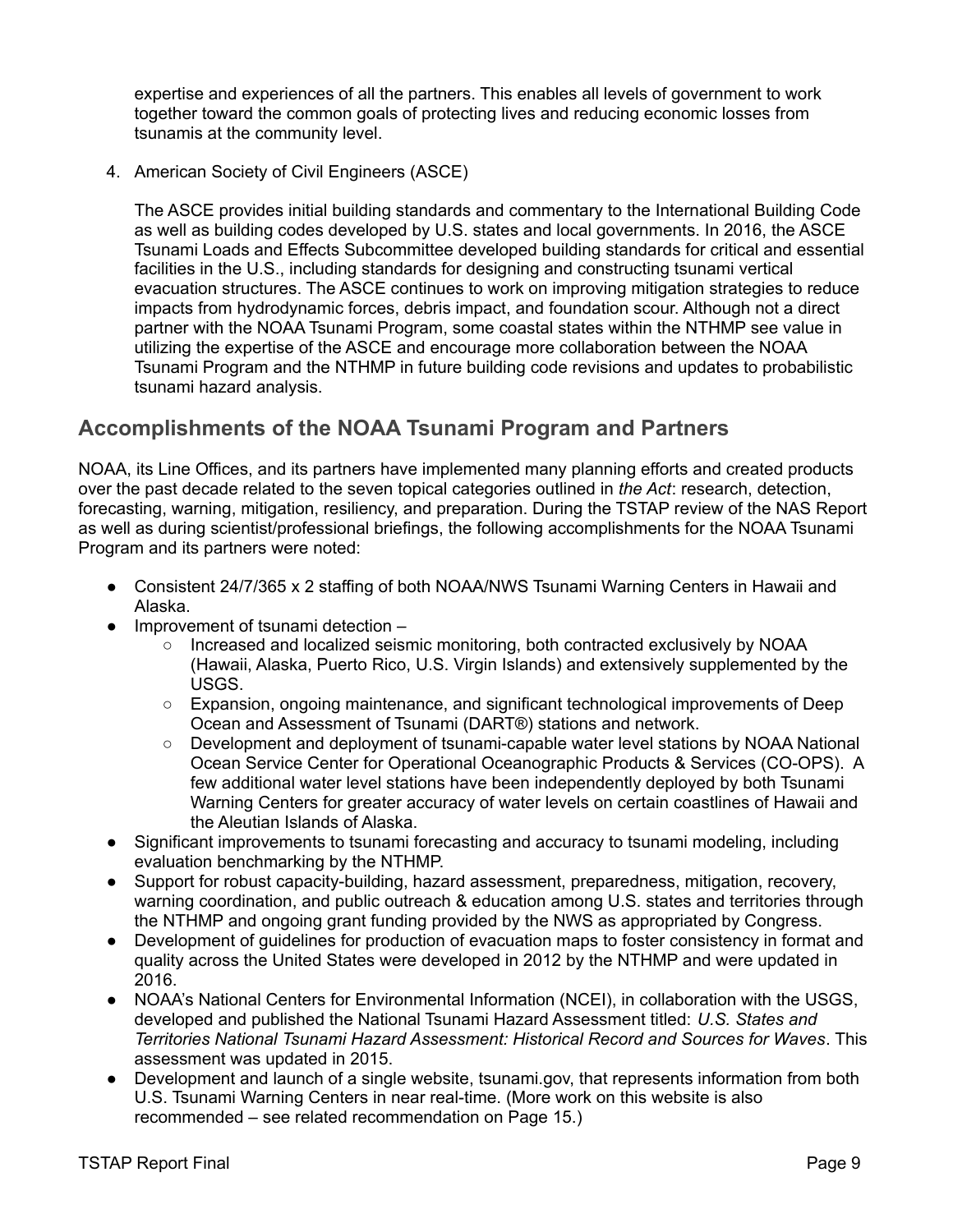expertise and experiences of all the partners. This enables all levels of government to work together toward the common goals of protecting lives and reducing economic losses from tsunamis at the community level.

4. American Society of Civil Engineers (ASCE)

The ASCE provides initial building standards and commentary to the International Building Code as well as building codes developed by U.S. states and local governments. In 2016, the ASCE Tsunami Loads and Effects Subcommittee developed building standards for critical and essential facilities in the U.S., including standards for designing and constructing tsunami vertical evacuation structures. The ASCE continues to work on improving mitigation strategies to reduce impacts from hydrodynamic forces, debris impact, and foundation scour. Although not a direct partner with the NOAA Tsunami Program, some coastal states within the NTHMP see value in utilizing the expertise of the ASCE and encourage more collaboration between the NOAA Tsunami Program and the NTHMP in future building code revisions and updates to probabilistic tsunami hazard analysis.

### **Accomplishments of the NOAA Tsunami Program and Partners**

NOAA, its Line Offices, and its partners have implemented many planning efforts and created products over the past decade related to the seven topical categories outlined in *the Act*: research, detection, forecasting, warning, mitigation, resiliency, and preparation. During the TSTAP review of the NAS Report as well as during scientist/professional briefings, the following accomplishments for the NOAA Tsunami Program and its partners were noted:

- Consistent 24/7/365 x 2 staffing of both NOAA/NWS Tsunami Warning Centers in Hawaii and Alaska.
- Improvement of tsunami detection
	- Increased and localized seismic monitoring, both contracted exclusively by NOAA (Hawaii, Alaska, Puerto Rico, U.S. Virgin Islands) and extensively supplemented by the USGS.
	- Expansion, ongoing maintenance, and significant technological improvements of Deep Ocean and Assessment of Tsunami (DART®) stations and network.
	- Development and deployment of tsunami-capable water level stations by NOAA National Ocean Service Center for Operational Oceanographic Products & Services (CO-OPS). A few additional water level stations have been independently deployed by both Tsunami Warning Centers for greater accuracy of water levels on certain coastlines of Hawaii and the Aleutian Islands of Alaska.
- Significant improvements to tsunami forecasting and accuracy to tsunami modeling, including evaluation benchmarking by the NTHMP.
- Support for robust capacity-building, hazard assessment, preparedness, mitigation, recovery, warning coordination, and public outreach & education among U.S. states and territories through the NTHMP and ongoing grant funding provided by the NWS as appropriated by Congress.
- Development of guidelines for production of evacuation maps to foster consistency in format and quality across the United States were developed in 2012 by the NTHMP and were updated in 2016.
- NOAA's National Centers for Environmental Information (NCEI), in collaboration with the USGS, developed and published the National Tsunami Hazard Assessment titled: *U.S. States and Territories National Tsunami Hazard Assessment: Historical Record and Sources for Waves*. This assessment was updated in 2015.
- Development and launch of a single website, tsunami.gov, that represents information from both U.S. Tsunami Warning Centers in near real-time. (More work on this website is also recommended – see related recommendation on Page 15.)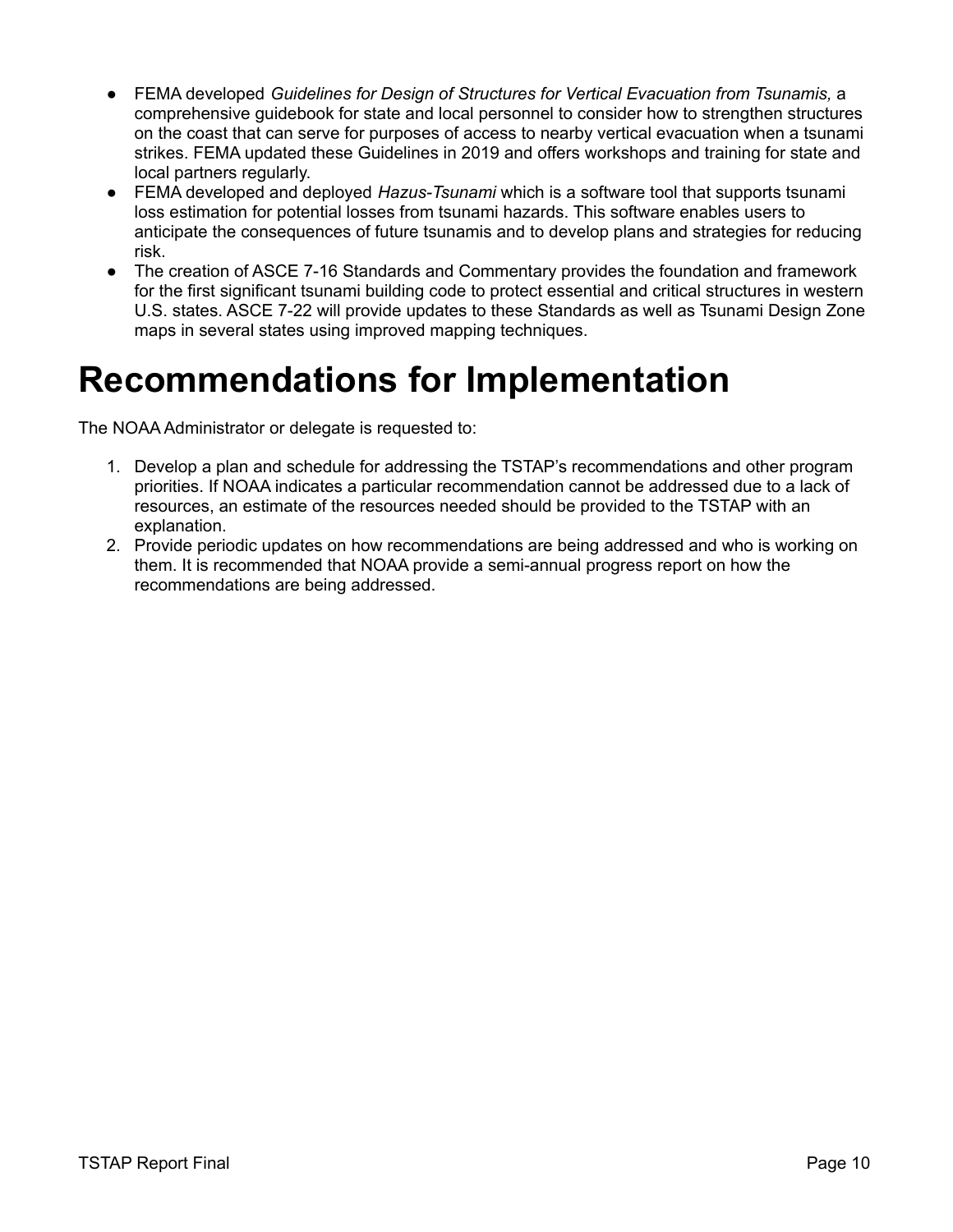- FEMA developed *Guidelines for Design of Structures for Vertical Evacuation from Tsunamis,* a comprehensive guidebook for state and local personnel to consider how to strengthen structures on the coast that can serve for purposes of access to nearby vertical evacuation when a tsunami strikes. FEMA updated these Guidelines in 2019 and offers workshops and training for state and local partners regularly.
- FEMA developed and deployed *Hazus-Tsunami* which is a software tool that supports tsunami loss estimation for potential losses from tsunami hazards. This software enables users to anticipate the consequences of future tsunamis and to develop plans and strategies for reducing risk.
- The creation of ASCE 7-16 Standards and Commentary provides the foundation and framework for the first significant tsunami building code to protect essential and critical structures in western U.S. states. ASCE 7-22 will provide updates to these Standards as well as Tsunami Design Zone maps in several states using improved mapping techniques.

## **Recommendations for Implementation**

The NOAA Administrator or delegate is requested to:

- 1. Develop a plan and schedule for addressing the TSTAP's recommendations and other program priorities. If NOAA indicates a particular recommendation cannot be addressed due to a lack of resources, an estimate of the resources needed should be provided to the TSTAP with an explanation.
- 2. Provide periodic updates on how recommendations are being addressed and who is working on them. It is recommended that NOAA provide a semi-annual progress report on how the recommendations are being addressed.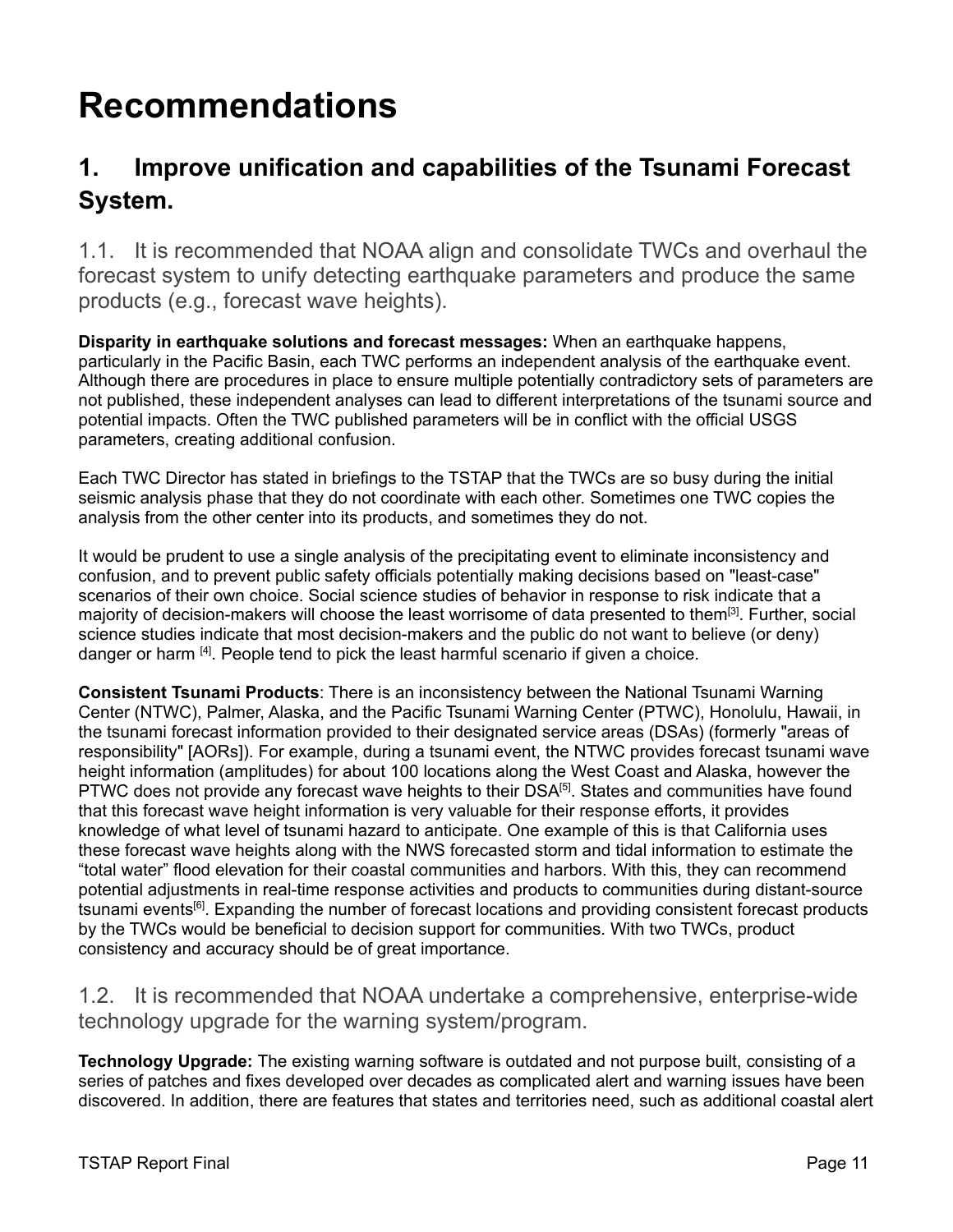## <span id="page-15-0"></span>**Recommendations**

### <span id="page-15-1"></span>**1. Improve unification and capabilities of the Tsunami Forecast System.**

1.1. It is recommended that NOAA align and consolidate TWCs and overhaul the forecast system to unify detecting earthquake parameters and produce the same products (e.g., forecast wave heights).

**Disparity in earthquake solutions and forecast messages:** When an earthquake happens, particularly in the Pacific Basin, each TWC performs an independent analysis of the earthquake event. Although there are procedures in place to ensure multiple potentially contradictory sets of parameters are not published, these independent analyses can lead to different interpretations of the tsunami source and potential impacts. Often the TWC published parameters will be in conflict with the official USGS parameters, creating additional confusion.

Each TWC Director has stated in briefings to the TSTAP that the TWCs are so busy during the initial seismic analysis phase that they do not coordinate with each other. Sometimes one TWC copies the analysis from the other center into its products, and sometimes they do not.

It would be prudent to use a single analysis of the precipitating event to eliminate inconsistency and confusion, and to prevent public safety officials potentially making decisions based on "least-case" scenarios of their own choice. Social science studies of behavior in response to risk indicate that a majority of decision-makers will choose the least worrisome of data presented to them<sup>[3]</sup>. Further, social science studies indicate that most decision-makers and the public do not want to believe (or deny) danger or harm [4]. People tend to pick the least harmful scenario if given a choice.

**Consistent Tsunami Products**: There is an inconsistency between the National Tsunami Warning Center (NTWC), Palmer, Alaska, and the Pacific Tsunami Warning Center (PTWC), Honolulu, Hawaii, in the tsunami forecast information provided to their designated service areas (DSAs) (formerly "areas of responsibility" [AORs]). For example, during a tsunami event, the NTWC provides forecast tsunami wave height information (amplitudes) for about 100 locations along the West Coast and Alaska, however the PTWC does not provide any forecast wave heights to their DSA<sup>[5]</sup>. States and communities have found that this forecast wave height information is very valuable for their response efforts, it provides knowledge of what level of tsunami hazard to anticipate. One example of this is that California uses these forecast wave heights along with the NWS forecasted storm and tidal information to estimate the "total water" flood elevation for their coastal communities and harbors. With this, they can recommend potential adjustments in real-time response activities and products to communities during distant-source tsunami events<sup>[6]</sup>. Expanding the number of forecast locations and providing consistent forecast products by the TWCs would be beneficial to decision support for communities. With two TWCs, product consistency and accuracy should be of great importance.

1.2. It is recommended that NOAA undertake a comprehensive, enterprise-wide technology upgrade for the warning system/program.

**Technology Upgrade:** The existing warning software is outdated and not purpose built, consisting of a series of patches and fixes developed over decades as complicated alert and warning issues have been discovered. In addition, there are features that states and territories need, such as additional coastal alert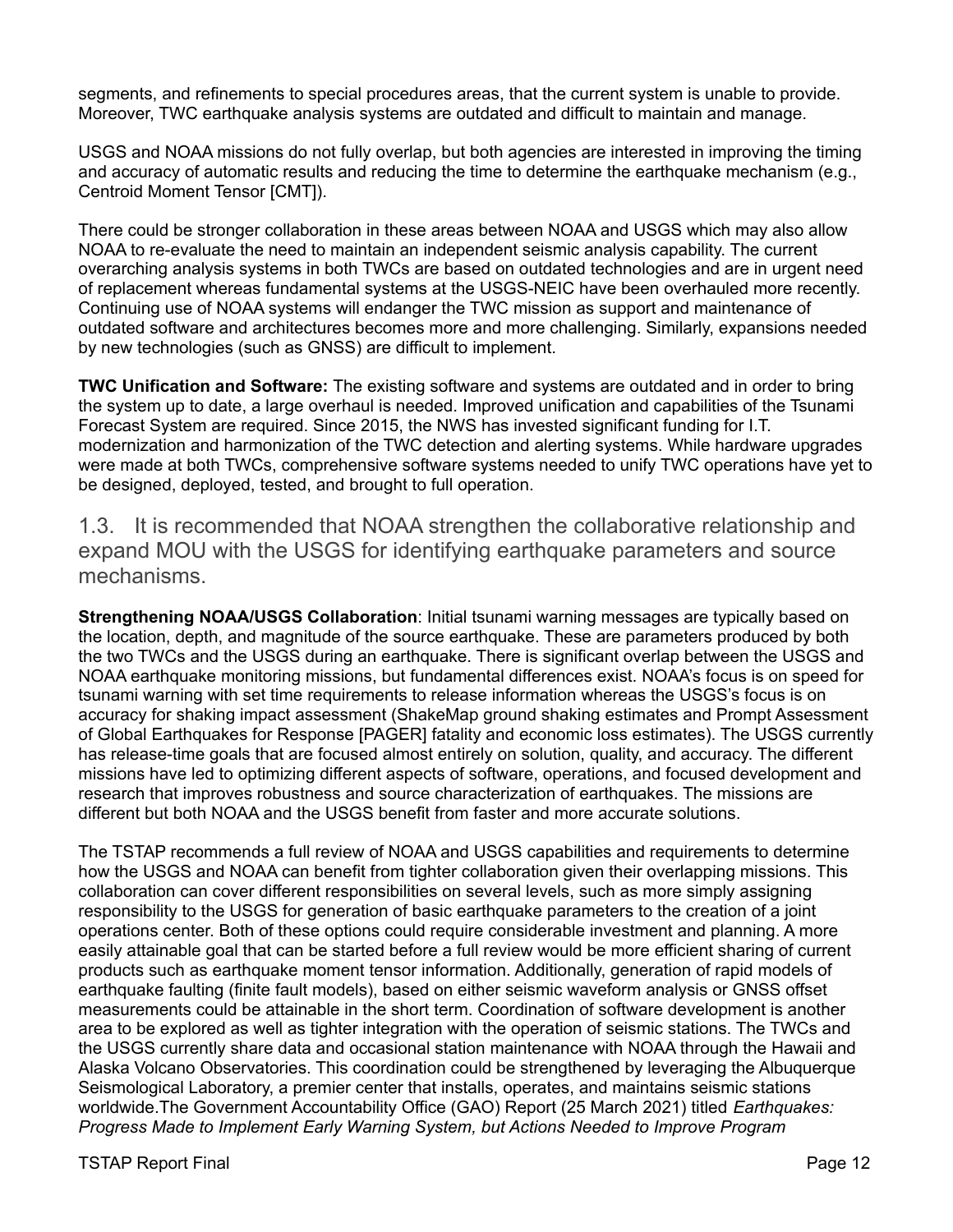segments, and refinements to special procedures areas, that the current system is unable to provide. Moreover, TWC earthquake analysis systems are outdated and difficult to maintain and manage.

USGS and NOAA missions do not fully overlap, but both agencies are interested in improving the timing and accuracy of automatic results and reducing the time to determine the earthquake mechanism (e.g., Centroid Moment Tensor [CMT]).

There could be stronger collaboration in these areas between NOAA and USGS which may also allow NOAA to re-evaluate the need to maintain an independent seismic analysis capability. The current overarching analysis systems in both TWCs are based on outdated technologies and are in urgent need of replacement whereas fundamental systems at the USGS-NEIC have been overhauled more recently. Continuing use of NOAA systems will endanger the TWC mission as support and maintenance of outdated software and architectures becomes more and more challenging. Similarly, expansions needed by new technologies (such as GNSS) are difficult to implement.

**TWC Unification and Software:** The existing software and systems are outdated and in order to bring the system up to date, a large overhaul is needed. Improved unification and capabilities of the Tsunami Forecast System are required. Since 2015, the NWS has invested significant funding for I.T. modernization and harmonization of the TWC detection and alerting systems. While hardware upgrades were made at both TWCs, comprehensive software systems needed to unify TWC operations have yet to be designed, deployed, tested, and brought to full operation.

1.3. It is recommended that NOAA strengthen the collaborative relationship and expand MOU with the USGS for identifying earthquake parameters and source mechanisms.

**Strengthening NOAA/USGS Collaboration**: Initial tsunami warning messages are typically based on the location, depth, and magnitude of the source earthquake. These are parameters produced by both the two TWCs and the USGS during an earthquake. There is significant overlap between the USGS and NOAA earthquake monitoring missions, but fundamental differences exist. NOAA's focus is on speed for tsunami warning with set time requirements to release information whereas the USGS's focus is on accuracy for shaking impact assessment (ShakeMap ground shaking estimates and Prompt Assessment of Global Earthquakes for Response [PAGER] fatality and economic loss estimates). The USGS currently has release-time goals that are focused almost entirely on solution, quality, and accuracy. The different missions have led to optimizing different aspects of software, operations, and focused development and research that improves robustness and source characterization of earthquakes. The missions are different but both NOAA and the USGS benefit from faster and more accurate solutions.

The TSTAP recommends a full review of NOAA and USGS capabilities and requirements to determine how the USGS and NOAA can benefit from tighter collaboration given their overlapping missions. This collaboration can cover different responsibilities on several levels, such as more simply assigning responsibility to the USGS for generation of basic earthquake parameters to the creation of a joint operations center. Both of these options could require considerable investment and planning. A more easily attainable goal that can be started before a full review would be more efficient sharing of current products such as earthquake moment tensor information. Additionally, generation of rapid models of earthquake faulting (finite fault models), based on either seismic waveform analysis or GNSS offset measurements could be attainable in the short term. Coordination of software development is another area to be explored as well as tighter integration with the operation of seismic stations. The TWCs and the USGS currently share data and occasional station maintenance with NOAA through the Hawaii and Alaska Volcano Observatories. This coordination could be strengthened by leveraging the Albuquerque Seismological Laboratory, a premier center that installs, operates, and maintains seismic stations worldwide.The Government Accountability Office (GAO) Report (25 March 2021) titled *Earthquakes: Progress Made to Implement Early Warning System, but Actions Needed to Improve Program*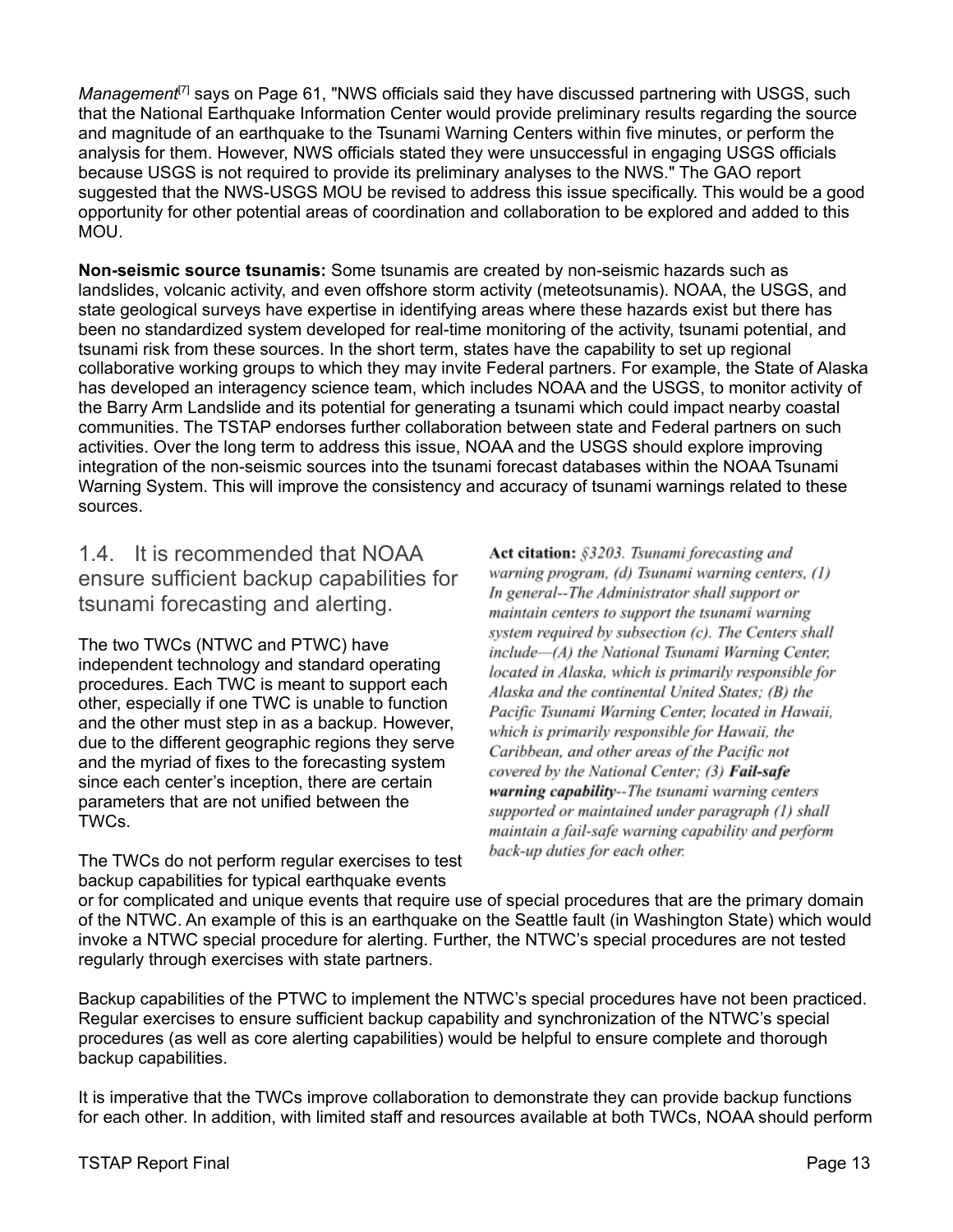Management<sup>[7]</sup> says on Page 61, "NWS officials said they have discussed partnering with USGS, such that the National Earthquake Information Center would provide preliminary results regarding the source and magnitude of an earthquake to the Tsunami Warning Centers within five minutes, or perform the analysis for them. However, NWS officials stated they were unsuccessful in engaging USGS officials because USGS is not required to provide its preliminary analyses to the NWS." The GAO report suggested that the NWS-USGS MOU be revised to address this issue specifically. This would be a good opportunity for other potential areas of coordination and collaboration to be explored and added to this MOU.

**Non-seismic source tsunamis:** Some tsunamis are created by non-seismic hazards such as landslides, volcanic activity, and even offshore storm activity (meteotsunamis). NOAA, the USGS, and state geological surveys have expertise in identifying areas where these hazards exist but there has been no standardized system developed for real-time monitoring of the activity, tsunami potential, and tsunami risk from these sources. In the short term, states have the capability to set up regional collaborative working groups to which they may invite Federal partners. For example, the State of Alaska has developed an interagency science team, which includes NOAA and the USGS, to monitor activity of the Barry Arm Landslide and its potential for generating a tsunami which could impact nearby coastal communities. The TSTAP endorses further collaboration between state and Federal partners on such activities. Over the long term to address this issue, NOAA and the USGS should explore improving integration of the non-seismic sources into the tsunami forecast databases within the NOAA Tsunami Warning System. This will improve the consistency and accuracy of tsunami warnings related to these sources.

1.4. It is recommended that NOAA ensure sufficient backup capabilities for tsunami forecasting and alerting.

The two TWCs (NTWC and PTWC) have independent technology and standard operating procedures. Each TWC is meant to support each other, especially if one TWC is unable to function and the other must step in as a backup. However, due to the different geographic regions they serve and the myriad of fixes to the forecasting system since each center's inception, there are certain parameters that are not unified between the TWCs.

The TWCs do not perform regular exercises to test backup capabilities for typical earthquake events

Act citation: §3203. Tsunami forecasting and warning program, (d) Tsunami warning centers, (1) In general--The Administrator shall support or maintain centers to support the tsunami warning system required by subsection (c). The Centers shall include-(A) the National Tsunami Warning Center, located in Alaska, which is primarily responsible for Alaska and the continental United States: (B) the Pacific Tsunami Warning Center, located in Hawaii, which is primarily responsible for Hawaii, the Caribbean, and other areas of the Pacific not covered by the National Center; (3) Fail-safe warning capability--The tsunami warning centers supported or maintained under paragraph (1) shall maintain a fail-safe warning capability and perform back-up duties for each other.

or for complicated and unique events that require use of special procedures that are the primary domain of the NTWC. An example of this is an earthquake on the Seattle fault (in Washington State) which would invoke a NTWC special procedure for alerting. Further, the NTWC's special procedures are not tested regularly through exercises with state partners.

Backup capabilities of the PTWC to implement the NTWC's special procedures have not been practiced. Regular exercises to ensure sufficient backup capability and synchronization of the NTWC's special procedures (as well as core alerting capabilities) would be helpful to ensure complete and thorough backup capabilities.

It is imperative that the TWCs improve collaboration to demonstrate they can provide backup functions for each other. In addition, with limited staff and resources available at both TWCs, NOAA should perform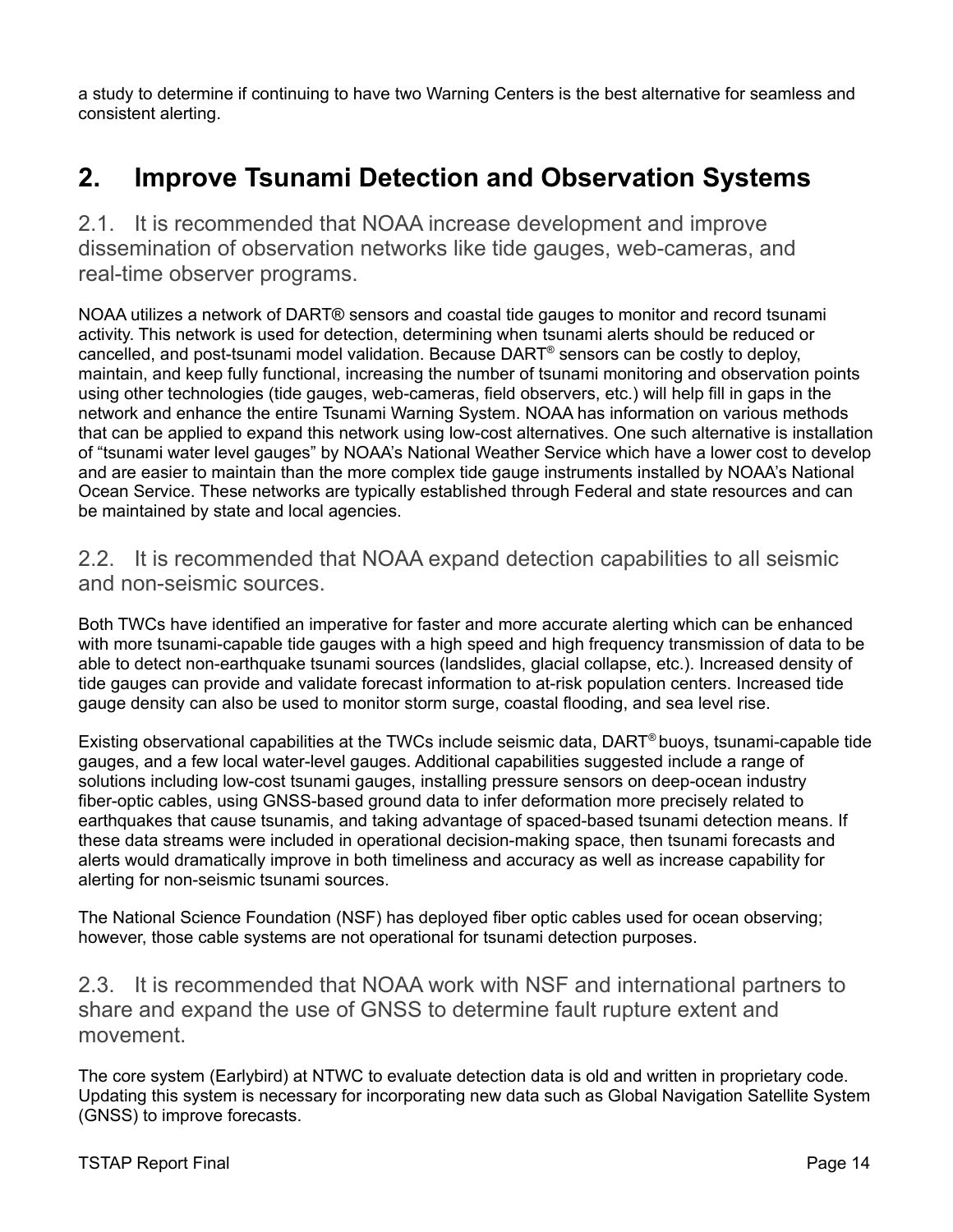a study to determine if continuing to have two Warning Centers is the best alternative for seamless and consistent alerting.

### <span id="page-18-0"></span>**2. Improve Tsunami Detection and Observation Systems**

2.1. It is recommended that NOAA increase development and improve dissemination of observation networks like tide gauges, web-cameras, and real-time observer programs.

NOAA utilizes a network of DART® sensors and coastal tide gauges to monitor and record tsunami activity. This network is used for detection, determining when tsunami alerts should be reduced or cancelled, and post-tsunami model validation. Because DART ® sensors can be costly to deploy, maintain, and keep fully functional, increasing the number of tsunami monitoring and observation points using other technologies (tide gauges, web-cameras, field observers, etc.) will help fill in gaps in the network and enhance the entire Tsunami Warning System. NOAA has information on various methods that can be applied to expand this network using low-cost alternatives. One such alternative is installation of "tsunami water level gauges" by NOAA's National Weather Service which have a lower cost to develop and are easier to maintain than the more complex tide gauge instruments installed by NOAA's National Ocean Service. These networks are typically established through Federal and state resources and can be maintained by state and local agencies.

#### 2.2. It is recommended that NOAA expand detection capabilities to all seismic and non-seismic sources.

Both TWCs have identified an imperative for faster and more accurate alerting which can be enhanced with more tsunami-capable tide gauges with a high speed and high frequency transmission of data to be able to detect non-earthquake tsunami sources (landslides, glacial collapse, etc.). Increased density of tide gauges can provide and validate forecast information to at-risk population centers. Increased tide gauge density can also be used to monitor storm surge, coastal flooding, and sea level rise.

Existing observational capabilities at the TWCs include seismic data, DART ® buoys, tsunami-capable tide gauges, and a few local water-level gauges. Additional capabilities suggested include a range of solutions including low-cost tsunami gauges, installing pressure sensors on deep-ocean industry fiber-optic cables, using GNSS-based ground data to infer deformation more precisely related to earthquakes that cause tsunamis, and taking advantage of spaced-based tsunami detection means. If these data streams were included in operational decision-making space, then tsunami forecasts and alerts would dramatically improve in both timeliness and accuracy as well as increase capability for alerting for non-seismic tsunami sources.

The National Science Foundation (NSF) has deployed fiber optic cables used for ocean observing; however, those cable systems are not operational for tsunami detection purposes.

2.3. It is recommended that NOAA work with NSF and international partners to share and expand the use of GNSS to determine fault rupture extent and movement.

The core system (Earlybird) at NTWC to evaluate detection data is old and written in proprietary code. Updating this system is necessary for incorporating new data such as Global Navigation Satellite System (GNSS) to improve forecasts.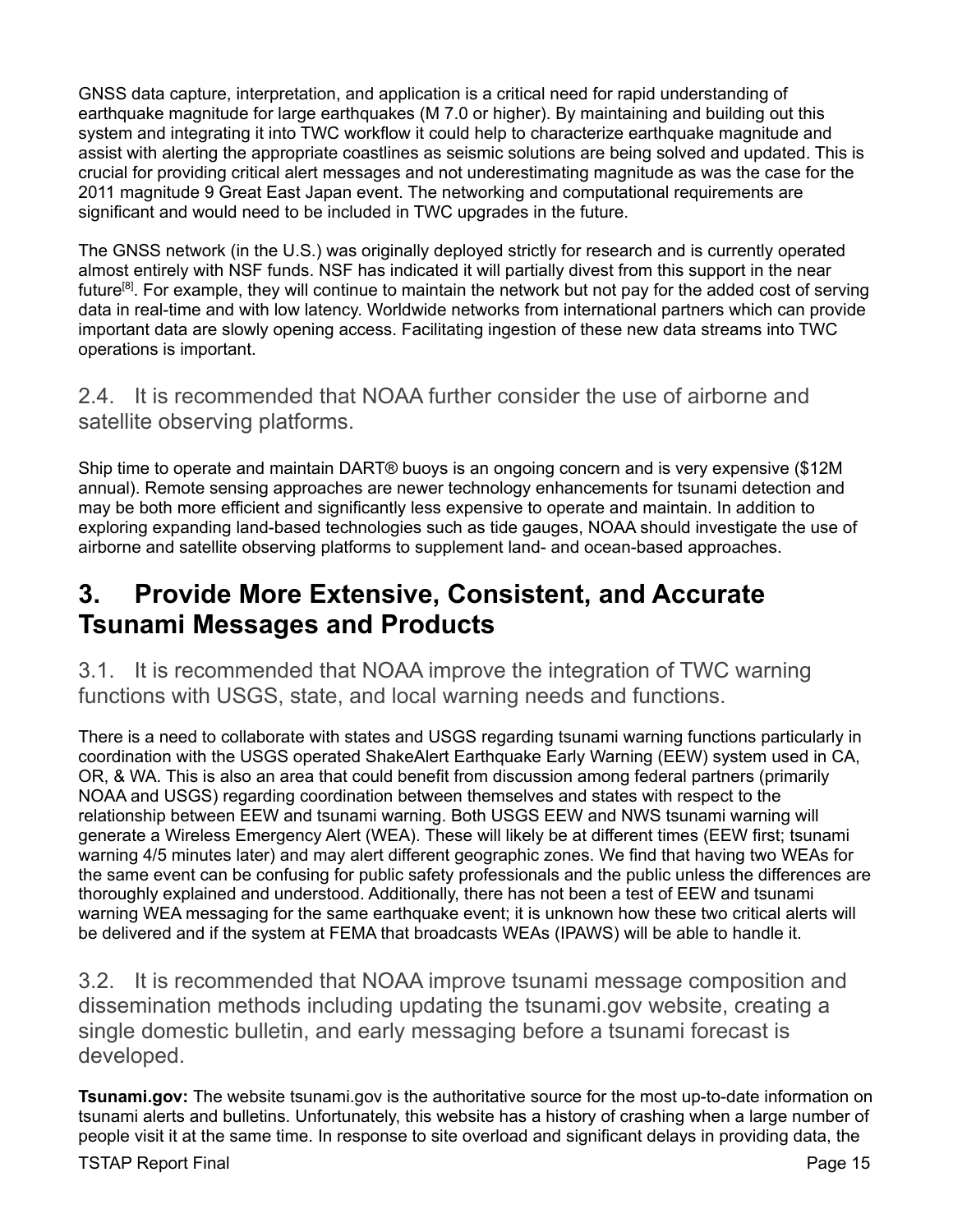GNSS data capture, interpretation, and application is a critical need for rapid understanding of earthquake magnitude for large earthquakes (M 7.0 or higher). By maintaining and building out this system and integrating it into TWC workflow it could help to characterize earthquake magnitude and assist with alerting the appropriate coastlines as seismic solutions are being solved and updated. This is crucial for providing critical alert messages and not underestimating magnitude as was the case for the 2011 magnitude 9 Great East Japan event. The networking and computational requirements are significant and would need to be included in TWC upgrades in the future.

The GNSS network (in the U.S.) was originally deployed strictly for research and is currently operated almost entirely with NSF funds. NSF has indicated it will partially divest from this support in the near future<sup>[8]</sup>. For example, they will continue to maintain the network but not pay for the added cost of serving data in real-time and with low latency. Worldwide networks from international partners which can provide important data are slowly opening access. Facilitating ingestion of these new data streams into TWC operations is important.

2.4. It is recommended that NOAA further consider the use of airborne and satellite observing platforms.

Ship time to operate and maintain DART® buoys is an ongoing concern and is very expensive (\$12M annual). Remote sensing approaches are newer technology enhancements for tsunami detection and may be both more efficient and significantly less expensive to operate and maintain. In addition to exploring expanding land-based technologies such as tide gauges, NOAA should investigate the use of airborne and satellite observing platforms to supplement land- and ocean-based approaches.

### <span id="page-19-0"></span>**3. Provide More Extensive, Consistent, and Accurate Tsunami Messages and Products**

3.1. It is recommended that NOAA improve the integration of TWC warning functions with USGS, state, and local warning needs and functions.

There is a need to collaborate with states and USGS regarding tsunami warning functions particularly in coordination with the USGS operated ShakeAlert Earthquake Early Warning (EEW) system used in CA, OR, & WA. This is also an area that could benefit from discussion among federal partners (primarily NOAA and USGS) regarding coordination between themselves and states with respect to the relationship between EEW and tsunami warning. Both USGS EEW and NWS tsunami warning will generate a Wireless Emergency Alert (WEA). These will likely be at different times (EEW first; tsunami warning 4/5 minutes later) and may alert different geographic zones. We find that having two WEAs for the same event can be confusing for public safety professionals and the public unless the differences are thoroughly explained and understood. Additionally, there has not been a test of EEW and tsunami warning WEA messaging for the same earthquake event; it is unknown how these two critical alerts will be delivered and if the system at FEMA that broadcasts WEAs (IPAWS) will be able to handle it.

3.2. It is recommended that NOAA improve tsunami message composition and dissemination methods including updating the tsunami.gov website, creating a single domestic bulletin, and early messaging before a tsunami forecast is developed.

**Tsunami.gov:** The website tsunami.gov is the authoritative source for the most up-to-date information on tsunami alerts and bulletins. Unfortunately, this website has a history of crashing when a large number of people visit it at the same time. In response to site overload and significant delays in providing data, the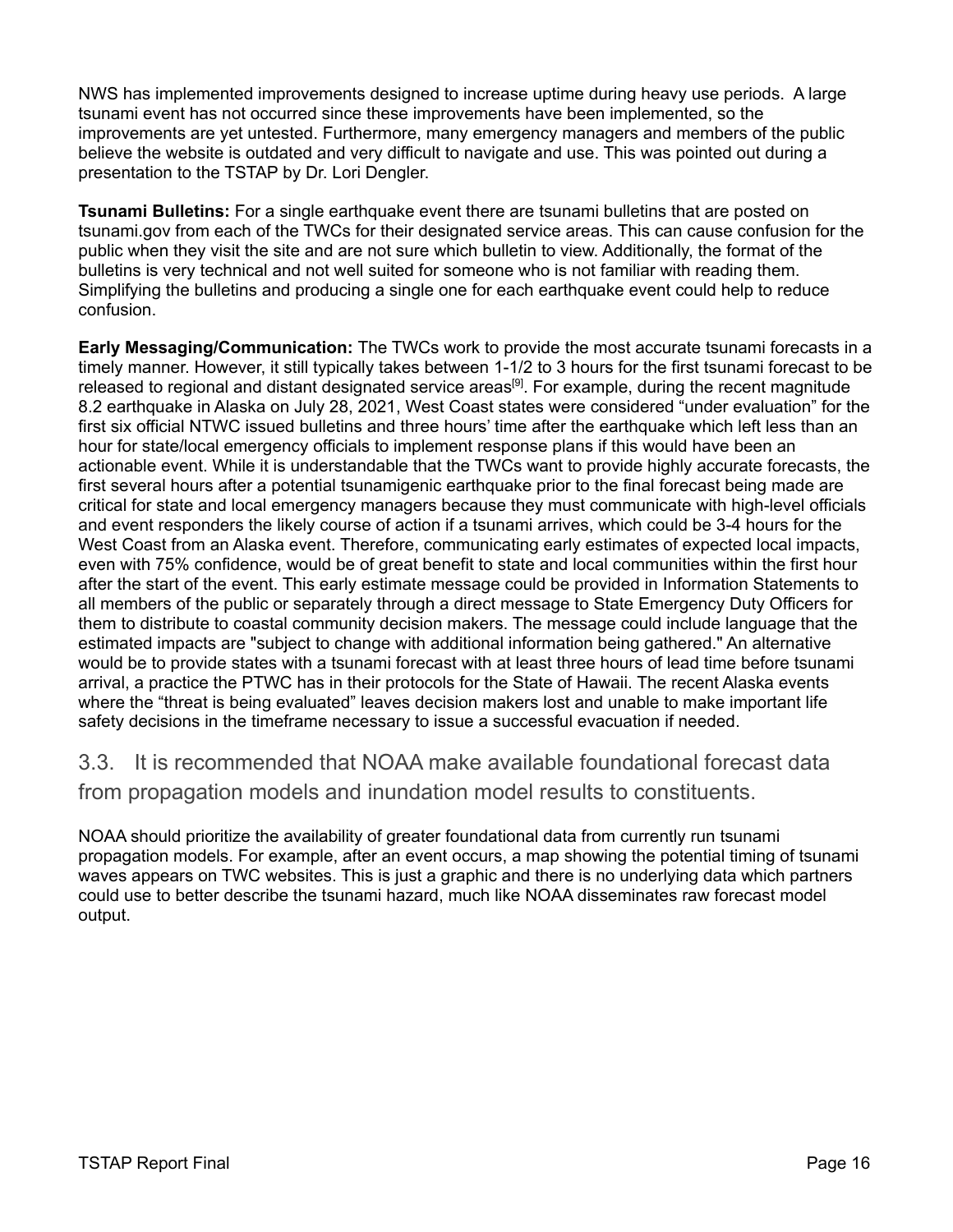NWS has implemented improvements designed to increase uptime during heavy use periods. A large tsunami event has not occurred since these improvements have been implemented, so the improvements are yet untested. Furthermore, many emergency managers and members of the public believe the website is outdated and very difficult to navigate and use. This was pointed out during a presentation to the TSTAP by Dr. Lori Dengler.

**Tsunami Bulletins:** For a single earthquake event there are tsunami bulletins that are posted on tsunami.gov from each of the TWCs for their designated service areas. This can cause confusion for the public when they visit the site and are not sure which bulletin to view. Additionally, the format of the bulletins is very technical and not well suited for someone who is not familiar with reading them. Simplifying the bulletins and producing a single one for each earthquake event could help to reduce confusion.

**Early Messaging/Communication:** The TWCs work to provide the most accurate tsunami forecasts in a timely manner. However, it still typically takes between 1-1/2 to 3 hours for the first tsunami forecast to be released to regional and distant designated service areas<sup>[9]</sup>. For example, during the recent magnitude 8.2 earthquake in Alaska on July 28, 2021, West Coast states were considered "under evaluation" for the first six official NTWC issued bulletins and three hours' time after the earthquake which left less than an hour for state/local emergency officials to implement response plans if this would have been an actionable event. While it is understandable that the TWCs want to provide highly accurate forecasts, the first several hours after a potential tsunamigenic earthquake prior to the final forecast being made are critical for state and local emergency managers because they must communicate with high-level officials and event responders the likely course of action if a tsunami arrives, which could be 3-4 hours for the West Coast from an Alaska event. Therefore, communicating early estimates of expected local impacts, even with 75% confidence, would be of great benefit to state and local communities within the first hour after the start of the event. This early estimate message could be provided in Information Statements to all members of the public or separately through a direct message to State Emergency Duty Officers for them to distribute to coastal community decision makers. The message could include language that the estimated impacts are "subject to change with additional information being gathered." An alternative would be to provide states with a tsunami forecast with at least three hours of lead time before tsunami arrival, a practice the PTWC has in their protocols for the State of Hawaii. The recent Alaska events where the "threat is being evaluated" leaves decision makers lost and unable to make important life safety decisions in the timeframe necessary to issue a successful evacuation if needed.

3.3. It is recommended that NOAA make available foundational forecast data from propagation models and inundation model results to constituents.

NOAA should prioritize the availability of greater foundational data from currently run tsunami propagation models. For example, after an event occurs, a map showing the potential timing of tsunami waves appears on TWC websites. This is just a graphic and there is no underlying data which partners could use to better describe the tsunami hazard, much like NOAA disseminates raw forecast model output.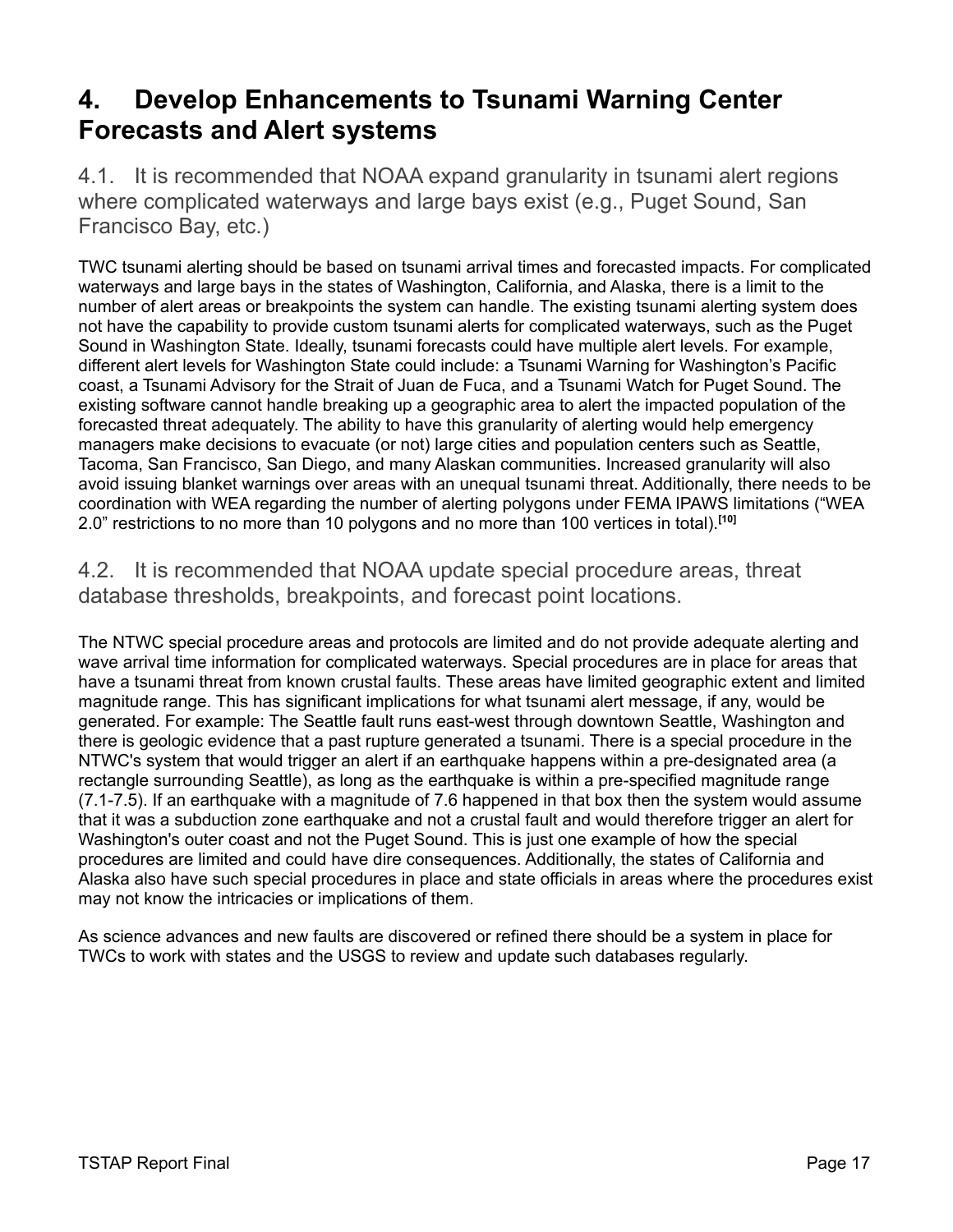### <span id="page-21-0"></span>**4. Develop Enhancements to Tsunami Warning Center Forecasts and Alert systems**

4.1. It is recommended that NOAA expand granularity in tsunami alert regions where complicated waterways and large bays exist (e.g., Puget Sound, San Francisco Bay, etc.)

TWC tsunami alerting should be based on tsunami arrival times and forecasted impacts. For complicated waterways and large bays in the states of Washington, California, and Alaska, there is a limit to the number of alert areas or breakpoints the system can handle. The existing tsunami alerting system does not have the capability to provide custom tsunami alerts for complicated waterways, such as the Puget Sound in Washington State. Ideally, tsunami forecasts could have multiple alert levels. For example, different alert levels for Washington State could include: a Tsunami Warning for Washington's Pacific coast, a Tsunami Advisory for the Strait of Juan de Fuca, and a Tsunami Watch for Puget Sound. The existing software cannot handle breaking up a geographic area to alert the impacted population of the forecasted threat adequately. The ability to have this granularity of alerting would help emergency managers make decisions to evacuate (or not) large cities and population centers such as Seattle, Tacoma, San Francisco, San Diego, and many Alaskan communities. Increased granularity will also avoid issuing blanket warnings over areas with an unequal tsunami threat. Additionally, there needs to be coordination with WEA regarding the number of alerting polygons under FEMA IPAWS limitations ("WEA 2.0" restrictions to no more than 10 polygons and no more than 100 vertices in total). **[10]**

4.2. It is recommended that NOAA update special procedure areas, threat database thresholds, breakpoints, and forecast point locations.

The NTWC special procedure areas and protocols are limited and do not provide adequate alerting and wave arrival time information for complicated waterways. Special procedures are in place for areas that have a tsunami threat from known crustal faults. These areas have limited geographic extent and limited magnitude range. This has significant implications for what tsunami alert message, if any, would be generated. For example: The Seattle fault runs east-west through downtown Seattle, Washington and there is geologic evidence that a past rupture generated a tsunami. There is a special procedure in the NTWC's system that would trigger an alert if an earthquake happens within a pre-designated area (a rectangle surrounding Seattle), as long as the earthquake is within a pre-specified magnitude range (7.1-7.5). If an earthquake with a magnitude of 7.6 happened in that box then the system would assume that it was a subduction zone earthquake and not a crustal fault and would therefore trigger an alert for Washington's outer coast and not the Puget Sound. This is just one example of how the special procedures are limited and could have dire consequences. Additionally, the states of California and Alaska also have such special procedures in place and state officials in areas where the procedures exist may not know the intricacies or implications of them.

As science advances and new faults are discovered or refined there should be a system in place for TWCs to work with states and the USGS to review and update such databases regularly.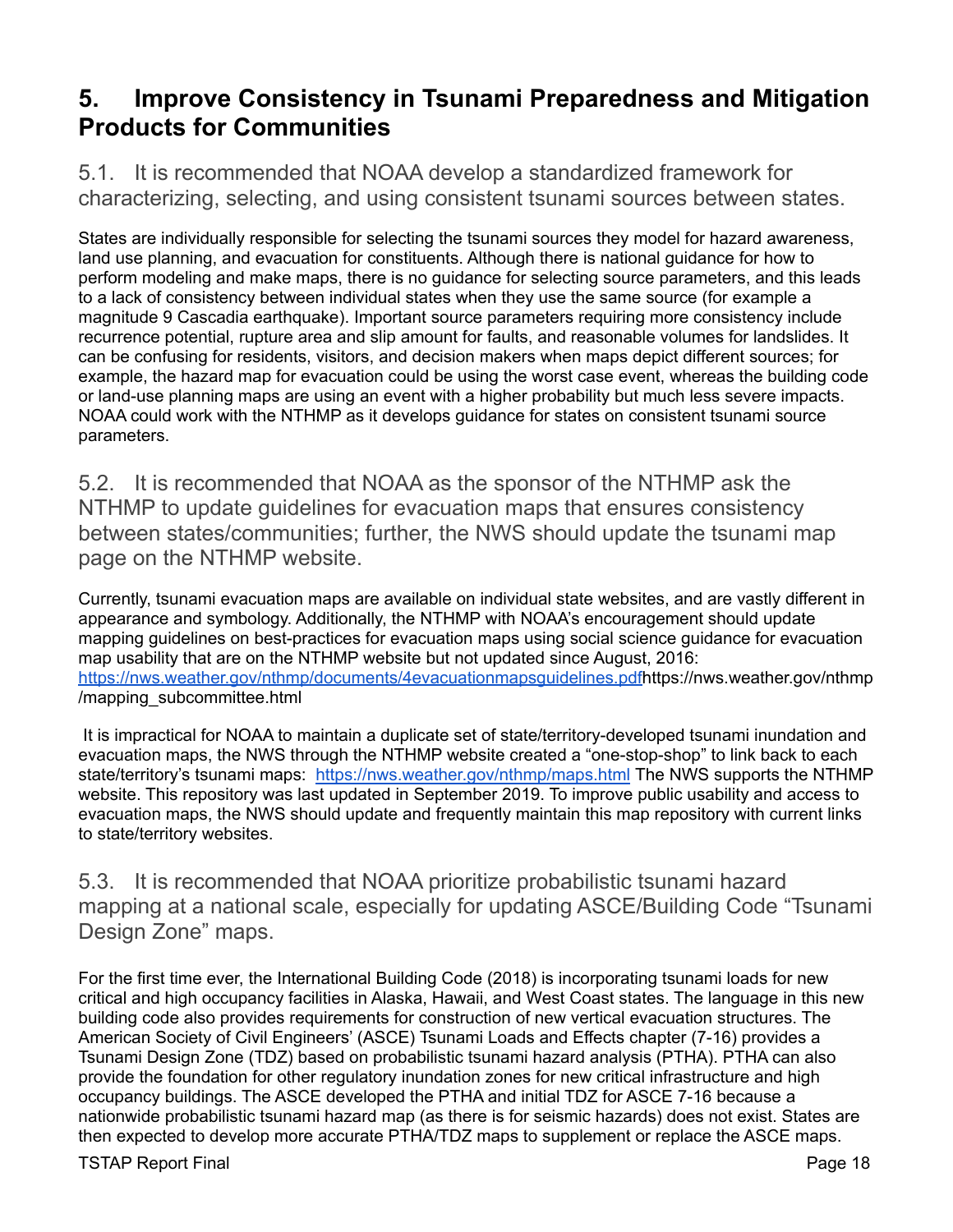### <span id="page-22-0"></span>**5. Improve Consistency in Tsunami Preparedness and Mitigation Products for Communities**

5.1. It is recommended that NOAA develop a standardized framework for characterizing, selecting, and using consistent tsunami sources between states.

States are individually responsible for selecting the tsunami sources they model for hazard awareness, land use planning, and evacuation for constituents. Although there is national guidance for how to perform modeling and make maps, there is no guidance for selecting source parameters, and this leads to a lack of consistency between individual states when they use the same source (for example a magnitude 9 Cascadia earthquake). Important source parameters requiring more consistency include recurrence potential, rupture area and slip amount for faults, and reasonable volumes for landslides. It can be confusing for residents, visitors, and decision makers when maps depict different sources; for example, the hazard map for evacuation could be using the worst case event, whereas the building code or land-use planning maps are using an event with a higher probability but much less severe impacts. NOAA could work with the NTHMP as it develops guidance for states on consistent tsunami source parameters.

5.2. It is recommended that NOAA as the sponsor of the NTHMP ask the NTHMP to update guidelines for evacuation maps that ensures consistency between states/communities; further, the NWS should update the tsunami map page on the NTHMP website.

Currently, tsunami evacuation maps are available on individual state websites, and are vastly different in appearance and symbology. Additionally, the NTHMP with NOAA's encouragement should update mapping guidelines on best-practices for evacuation maps using social science guidance for evacuation map usability that are on the NTHMP website but not updated since August, 2016: [https://nws.weather.gov/nthmp/documents/4evacuationmapsguidelines.pdfh](https://nws.weather.gov/nthmp/documents/4evacuationmapsguidelines.pdf)ttps://nws.weather.gov/nthmp /mapping\_subcommittee.html

It is impractical for NOAA to maintain a duplicate set of state/territory-developed tsunami inundation and evacuation maps, the NWS through the NTHMP website created a "one-stop-shop" to link back to each state/territory's tsunami maps: <https://nws.weather.gov/nthmp/maps.html> The NWS supports the NTHMP website. This repository was last updated in September 2019. To improve public usability and access to evacuation maps, the NWS should update and frequently maintain this map repository with current links to state/territory websites.

5.3. It is recommended that NOAA prioritize probabilistic tsunami hazard mapping at a national scale, especially for updating ASCE/Building Code "Tsunami Design Zone" maps.

For the first time ever, the International Building Code (2018) is incorporating tsunami loads for new critical and high occupancy facilities in Alaska, Hawaii, and West Coast states. The language in this new building code also provides requirements for construction of new vertical evacuation structures. The American Society of Civil Engineers' (ASCE) Tsunami Loads and Effects chapter (7-16) provides a Tsunami Design Zone (TDZ) based on probabilistic tsunami hazard analysis (PTHA). PTHA can also provide the foundation for other regulatory inundation zones for new critical infrastructure and high occupancy buildings. The ASCE developed the PTHA and initial TDZ for ASCE 7-16 because a nationwide probabilistic tsunami hazard map (as there is for seismic hazards) does not exist. States are then expected to develop more accurate PTHA/TDZ maps to supplement or replace the ASCE maps.

TSTAP Report Final **Page 18**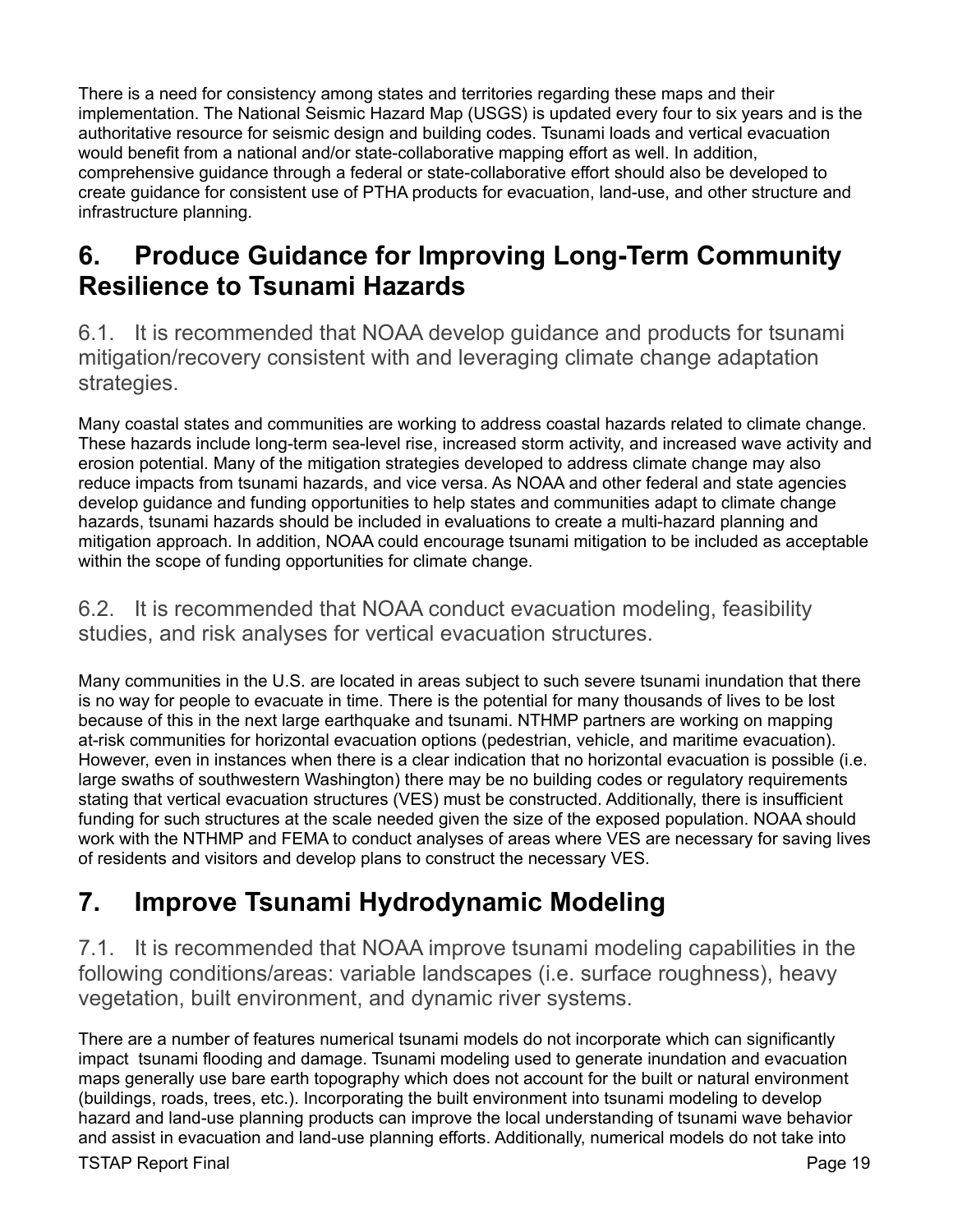There is a need for consistency among states and territories regarding these maps and their implementation. The National Seismic Hazard Map (USGS) is updated every four to six years and is the authoritative resource for seismic design and building codes. Tsunami loads and vertical evacuation would benefit from a national and/or state-collaborative mapping effort as well. In addition, comprehensive guidance through a federal or state-collaborative effort should also be developed to create guidance for consistent use of PTHA products for evacuation, land-use, and other structure and infrastructure planning.

### <span id="page-23-0"></span>**6. Produce Guidance for Improving Long-Term Community Resilience to Tsunami Hazards**

6.1. It is recommended that NOAA develop guidance and products for tsunami mitigation/recovery consistent with and leveraging climate change adaptation strategies.

Many coastal states and communities are working to address coastal hazards related to climate change. These hazards include long-term sea-level rise, increased storm activity, and increased wave activity and erosion potential. Many of the mitigation strategies developed to address climate change may also reduce impacts from tsunami hazards, and vice versa. As NOAA and other federal and state agencies develop guidance and funding opportunities to help states and communities adapt to climate change hazards, tsunami hazards should be included in evaluations to create a multi-hazard planning and mitigation approach. In addition, NOAA could encourage tsunami mitigation to be included as acceptable within the scope of funding opportunities for climate change.

### 6.2. It is recommended that NOAA conduct evacuation modeling, feasibility studies, and risk analyses for vertical evacuation structures.

Many communities in the U.S. are located in areas subject to such severe tsunami inundation that there is no way for people to evacuate in time. There is the potential for many thousands of lives to be lost because of this in the next large earthquake and tsunami. NTHMP partners are working on mapping at-risk communities for horizontal evacuation options (pedestrian, vehicle, and maritime evacuation). However, even in instances when there is a clear indication that no horizontal evacuation is possible (i.e. large swaths of southwestern Washington) there may be no building codes or regulatory requirements stating that vertical evacuation structures (VES) must be constructed. Additionally, there is insufficient funding for such structures at the scale needed given the size of the exposed population. NOAA should work with the NTHMP and FEMA to conduct analyses of areas where VES are necessary for saving lives of residents and visitors and develop plans to construct the necessary VES.

## <span id="page-23-1"></span>**7. Improve Tsunami Hydrodynamic Modeling**

7.1. It is recommended that NOAA improve tsunami modeling capabilities in the following conditions/areas: variable landscapes (i.e. surface roughness), heavy vegetation, built environment, and dynamic river systems.

There are a number of features numerical tsunami models do not incorporate which can significantly impact tsunami flooding and damage. Tsunami modeling used to generate inundation and evacuation maps generally use bare earth topography which does not account for the built or natural environment (buildings, roads, trees, etc.). Incorporating the built environment into tsunami modeling to develop hazard and land-use planning products can improve the local understanding of tsunami wave behavior and assist in evacuation and land-use planning efforts. Additionally, numerical models do not take into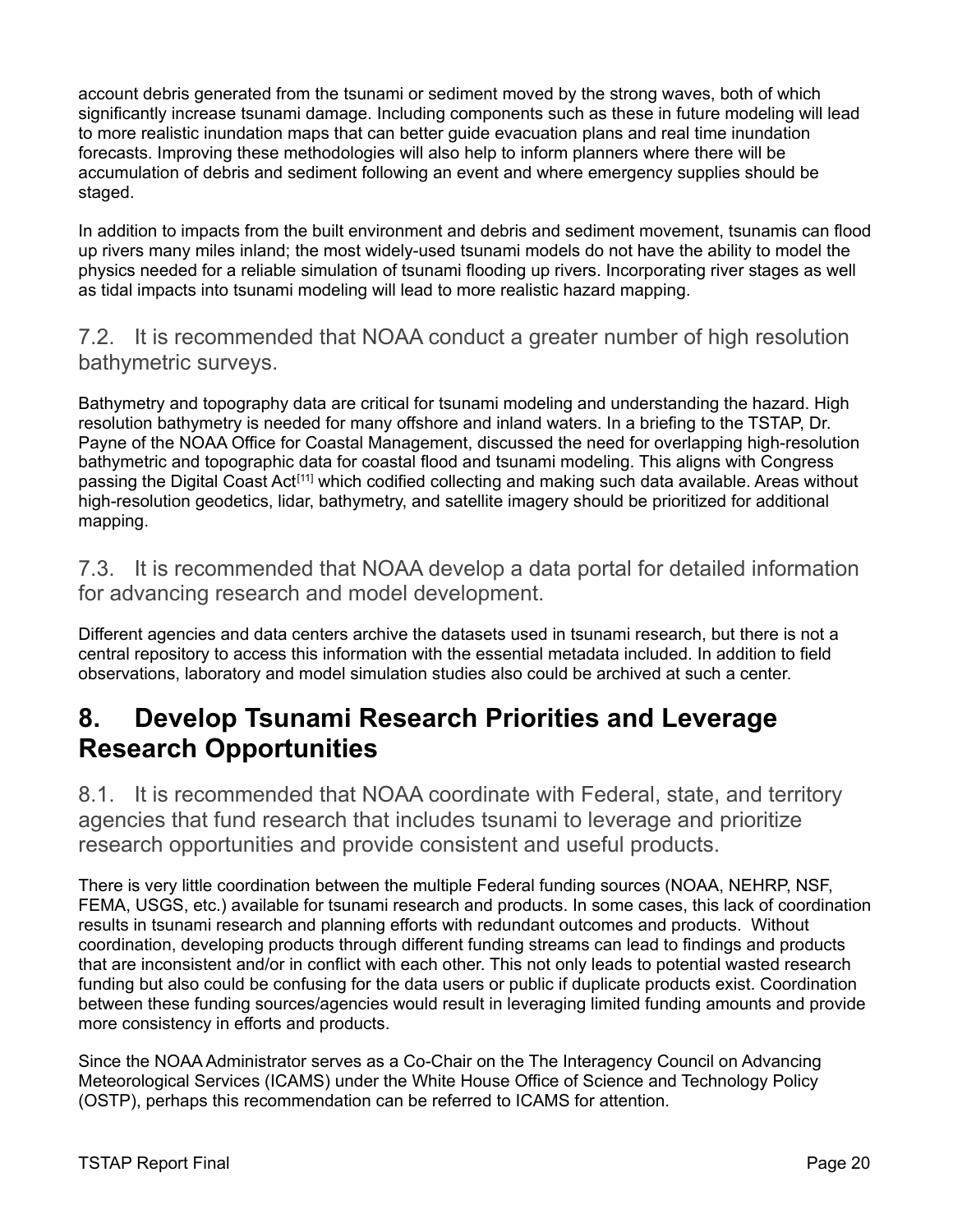account debris generated from the tsunami or sediment moved by the strong waves, both of which significantly increase tsunami damage. Including components such as these in future modeling will lead to more realistic inundation maps that can better guide evacuation plans and real time inundation forecasts. Improving these methodologies will also help to inform planners where there will be accumulation of debris and sediment following an event and where emergency supplies should be staged.

In addition to impacts from the built environment and debris and sediment movement, tsunamis can flood up rivers many miles inland; the most widely-used tsunami models do not have the ability to model the physics needed for a reliable simulation of tsunami flooding up rivers. Incorporating river stages as well as tidal impacts into tsunami modeling will lead to more realistic hazard mapping.

7.2. It is recommended that NOAA conduct a greater number of high resolution bathymetric surveys.

Bathymetry and topography data are critical for tsunami modeling and understanding the hazard. High resolution bathymetry is needed for many offshore and inland waters. In a briefing to the TSTAP, Dr. Payne of the NOAA Office for Coastal Management, discussed the need for overlapping high-resolution bathymetric and topographic data for coastal flood and tsunami modeling. This aligns with Congress passing the Digital Coast Act<sup>[11]</sup> which codified collecting and making such data available. Areas without high-resolution geodetics, lidar, bathymetry, and satellite imagery should be prioritized for additional mapping.

7.3. It is recommended that NOAA develop a data portal for detailed information for advancing research and model development.

Different agencies and data centers archive the datasets used in tsunami research, but there is not a central repository to access this information with the essential metadata included. In addition to field observations, laboratory and model simulation studies also could be archived at such a center.

### <span id="page-24-0"></span>**8. Develop Tsunami Research Priorities and Leverage Research Opportunities**

8.1. It is recommended that NOAA coordinate with Federal, state, and territory agencies that fund research that includes tsunami to leverage and prioritize research opportunities and provide consistent and useful products.

There is very little coordination between the multiple Federal funding sources (NOAA, NEHRP, NSF, FEMA, USGS, etc.) available for tsunami research and products. In some cases, this lack of coordination results in tsunami research and planning efforts with redundant outcomes and products. Without coordination, developing products through different funding streams can lead to findings and products that are inconsistent and/or in conflict with each other. This not only leads to potential wasted research funding but also could be confusing for the data users or public if duplicate products exist. Coordination between these funding sources/agencies would result in leveraging limited funding amounts and provide more consistency in efforts and products.

Since the NOAA Administrator serves as a Co-Chair on the The Interagency Council on Advancing Meteorological Services (ICAMS) under the White House Office of Science and Technology Policy (OSTP), perhaps this recommendation can be referred to ICAMS for attention.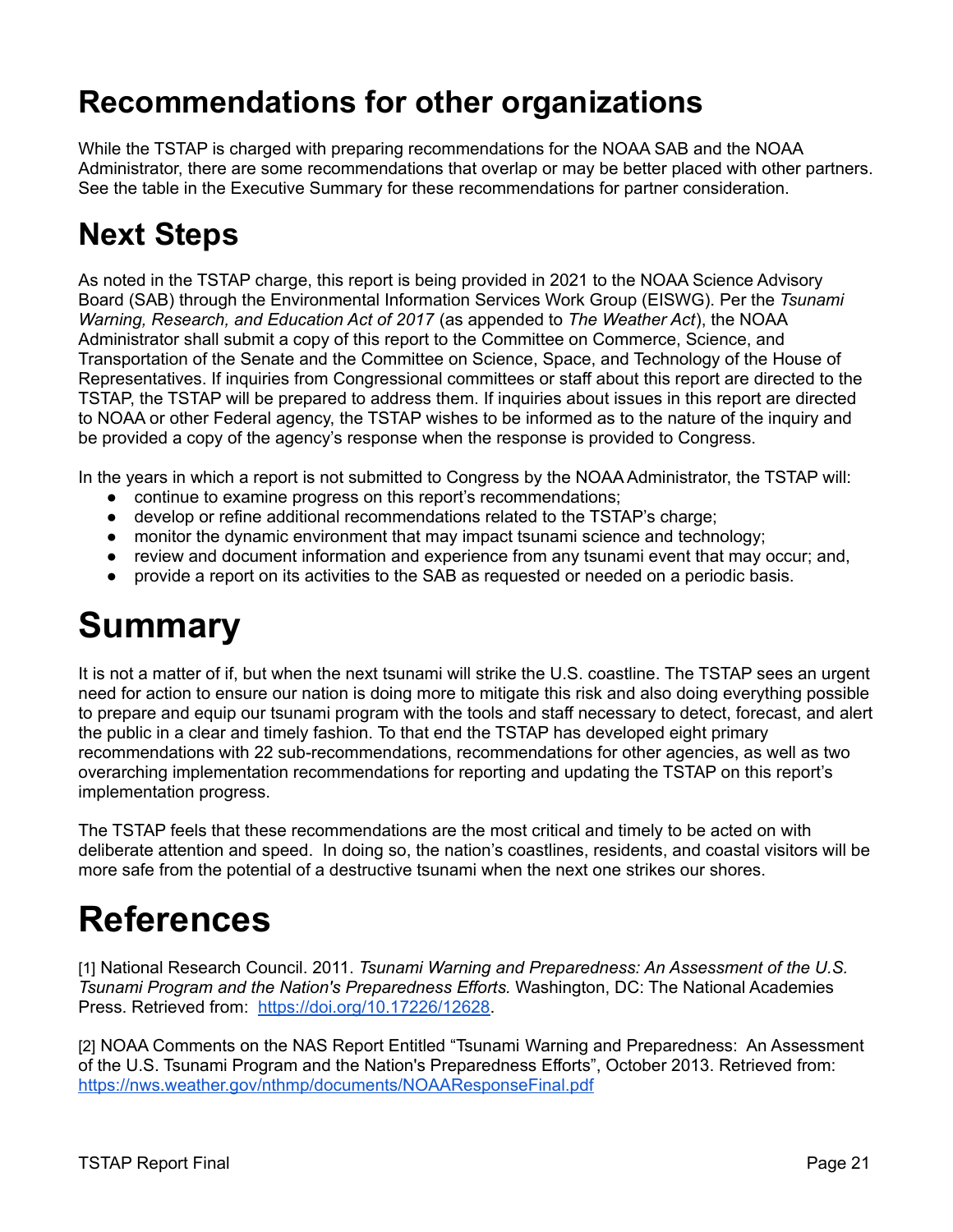## <span id="page-25-0"></span>**Recommendations for other organizations**

While the TSTAP is charged with preparing recommendations for the NOAA SAB and the NOAA Administrator, there are some recommendations that overlap or may be better placed with other partners. See the table in the Executive Summary for these recommendations for partner consideration.

## <span id="page-25-1"></span>**Next Steps**

As noted in the TSTAP charge, this report is being provided in 2021 to the NOAA Science Advisory Board (SAB) through the Environmental Information Services Work Group (EISWG). Per the *Tsunami Warning, Research, and Education Act of 2017* (as appended to *The Weather Act*), the NOAA Administrator shall submit a copy of this report to the Committee on Commerce, Science, and Transportation of the Senate and the Committee on Science, Space, and Technology of the House of Representatives. If inquiries from Congressional committees or staff about this report are directed to the TSTAP, the TSTAP will be prepared to address them. If inquiries about issues in this report are directed to NOAA or other Federal agency, the TSTAP wishes to be informed as to the nature of the inquiry and be provided a copy of the agency's response when the response is provided to Congress.

In the years in which a report is not submitted to Congress by the NOAA Administrator, the TSTAP will:

- continue to examine progress on this report's recommendations;
- develop or refine additional recommendations related to the TSTAP's charge;
- monitor the dynamic environment that may impact tsunami science and technology;
- review and document information and experience from any tsunami event that may occur; and,
- provide a report on its activities to the SAB as requested or needed on a periodic basis.

## <span id="page-25-2"></span>**Summary**

It is not a matter of if, but when the next tsunami will strike the U.S. coastline. The TSTAP sees an urgent need for action to ensure our nation is doing more to mitigate this risk and also doing everything possible to prepare and equip our tsunami program with the tools and staff necessary to detect, forecast, and alert the public in a clear and timely fashion. To that end the TSTAP has developed eight primary recommendations with 22 sub-recommendations, recommendations for other agencies, as well as two overarching implementation recommendations for reporting and updating the TSTAP on this report's implementation progress.

The TSTAP feels that these recommendations are the most critical and timely to be acted on with deliberate attention and speed. In doing so, the nation's coastlines, residents, and coastal visitors will be more safe from the potential of a destructive tsunami when the next one strikes our shores.

# <span id="page-25-3"></span>**References**

[1] National Research Council. 2011. *Tsunami Warning and Preparedness: An Assessment of the U.S. Tsunami Program and the Nation's Preparedness Efforts.* Washington, DC: The National Academies Press. Retrieved from: [https://doi.org/10.17226/12628.](https://doi.org/10.17226/12628)

[2] NOAA Comments on the NAS Report Entitled "Tsunami Warning and Preparedness: An Assessment of the U.S. Tsunami Program and the Nation's Preparedness Efforts", October 2013. Retrieved from: <https://nws.weather.gov/nthmp/documents/NOAAResponseFinal.pdf>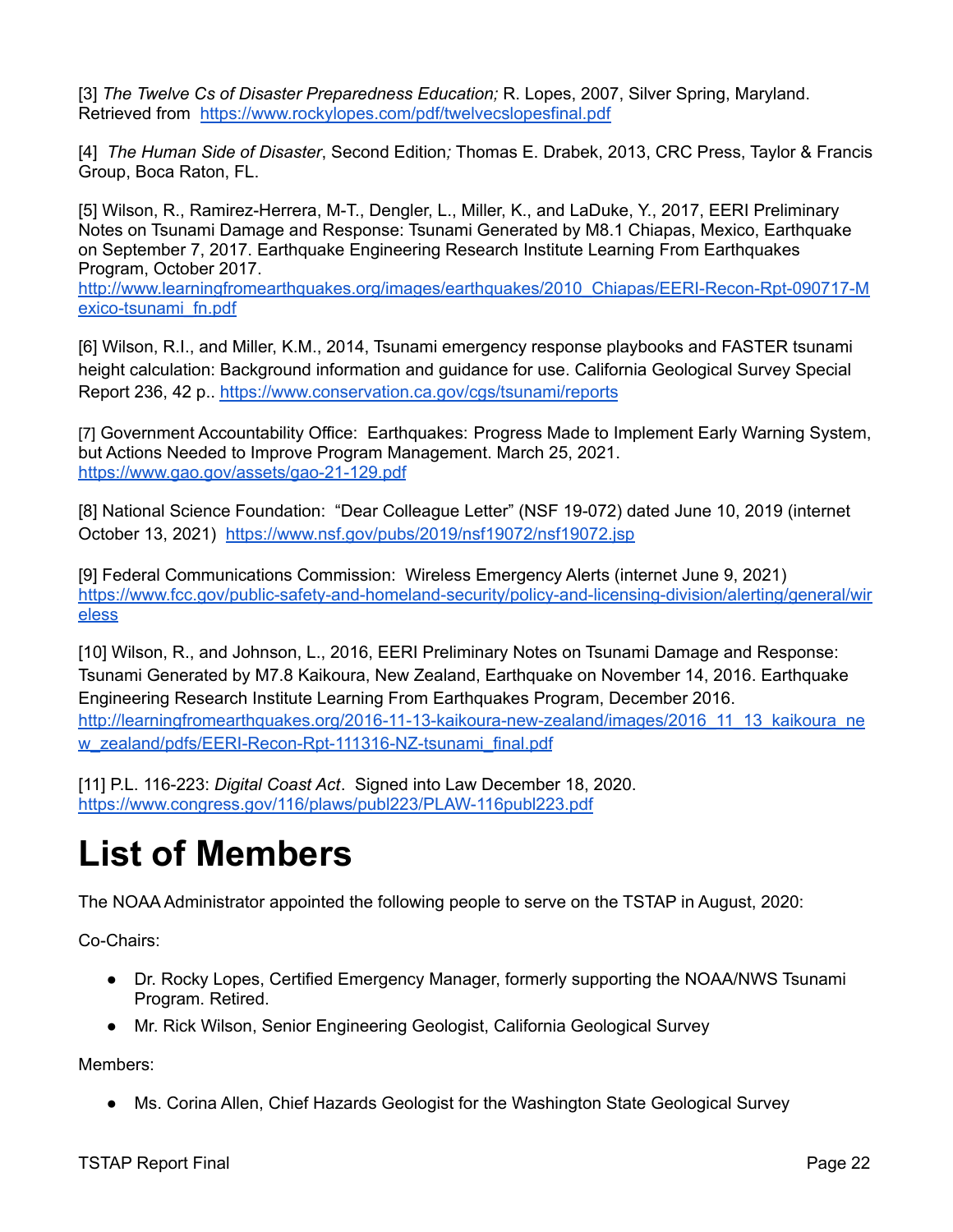[3] *The Twelve Cs of Disaster Preparedness Education;* R. Lopes, 2007, Silver Spring, Maryland. Retrieved from <https://www.rockylopes.com/pdf/twelvecslopesfinal.pdf>

[4] *The Human Side of Disaster*, Second Edition*;* Thomas E. Drabek, 2013, CRC Press, Taylor & Francis Group, Boca Raton, FL.

[5] Wilson, R., Ramirez-Herrera, M-T., Dengler, L., Miller, K., and LaDuke, Y., 2017, EERI Preliminary Notes on Tsunami Damage and Response: Tsunami Generated by M8.1 Chiapas, Mexico, Earthquake on September 7, 2017. Earthquake Engineering Research Institute Learning From Earthquakes Program, October 2017.

http://www.learningfromearthquakes.org/images/earthquakes/2010\_Chiapas/EERI-Recon-Rpt-090717-M exico-tsunami\_fn.pdf

[6] Wilson, R.I., and Miller, K.M., 2014, Tsunami emergency response playbooks and FASTER tsunami height calculation: Background information and guidance for use. California Geological Survey Special Report 236, 42 p.. <https://www.conservation.ca.gov/cgs/tsunami/reports>

[7] Government Accountability Office: Earthquakes: Progress Made to Implement Early Warning System, but Actions Needed to Improve Program Management. March 25, 2021. <https://www.gao.gov/assets/gao-21-129.pdf>

[8] National Science Foundation: "Dear Colleague Letter" (NSF 19-072) dated June 10, 2019 (internet October 13, 2021) <https://www.nsf.gov/pubs/2019/nsf19072/nsf19072.jsp>

[9] Federal Communications Commission: Wireless Emergency Alerts (internet June 9, 2021) [https://www.fcc.gov/public-safety-and-homeland-security/policy-and-licensing-division/alerting/general/wir](https://www.fcc.gov/public-safety-and-homeland-security/policy-and-licensing-division/alerting/general/wireless) [eless](https://www.fcc.gov/public-safety-and-homeland-security/policy-and-licensing-division/alerting/general/wireless)

[10] Wilson, R., and Johnson, L., 2016, EERI Preliminary Notes on Tsunami Damage and Response: Tsunami Generated by M7.8 Kaikoura, New Zealand, Earthquake on November 14, 2016. Earthquake Engineering Research Institute Learning From Earthquakes Program, December 2016. http://learningfromearthquakes.org/2016-11-13-kaikoura-new-zealand/images/2016\_11\_13\_kaikoura\_ne w\_zealand/pdfs/EERI-Recon-Rpt-111316-NZ-tsunami\_final.pdf

[11] P.L. 116-223: *Digital Coast Act*. Signed into Law December 18, 2020[.](https://www.congress.gov/116/plaws/publ223/PLAW-116publ223.pdf) <https://www.congress.gov/116/plaws/publ223/PLAW-116publ223.pdf>

## <span id="page-26-0"></span>**List of Members**

The NOAA Administrator appointed the following people to serve on the TSTAP in August, 2020:

Co-Chairs:

- Dr. Rocky Lopes, Certified Emergency Manager, formerly supporting the NOAA/NWS Tsunami Program. Retired.
- Mr. Rick Wilson, Senior Engineering Geologist, California Geological Survey

Members:

● Ms. Corina Allen, Chief Hazards Geologist for the Washington State Geological Survey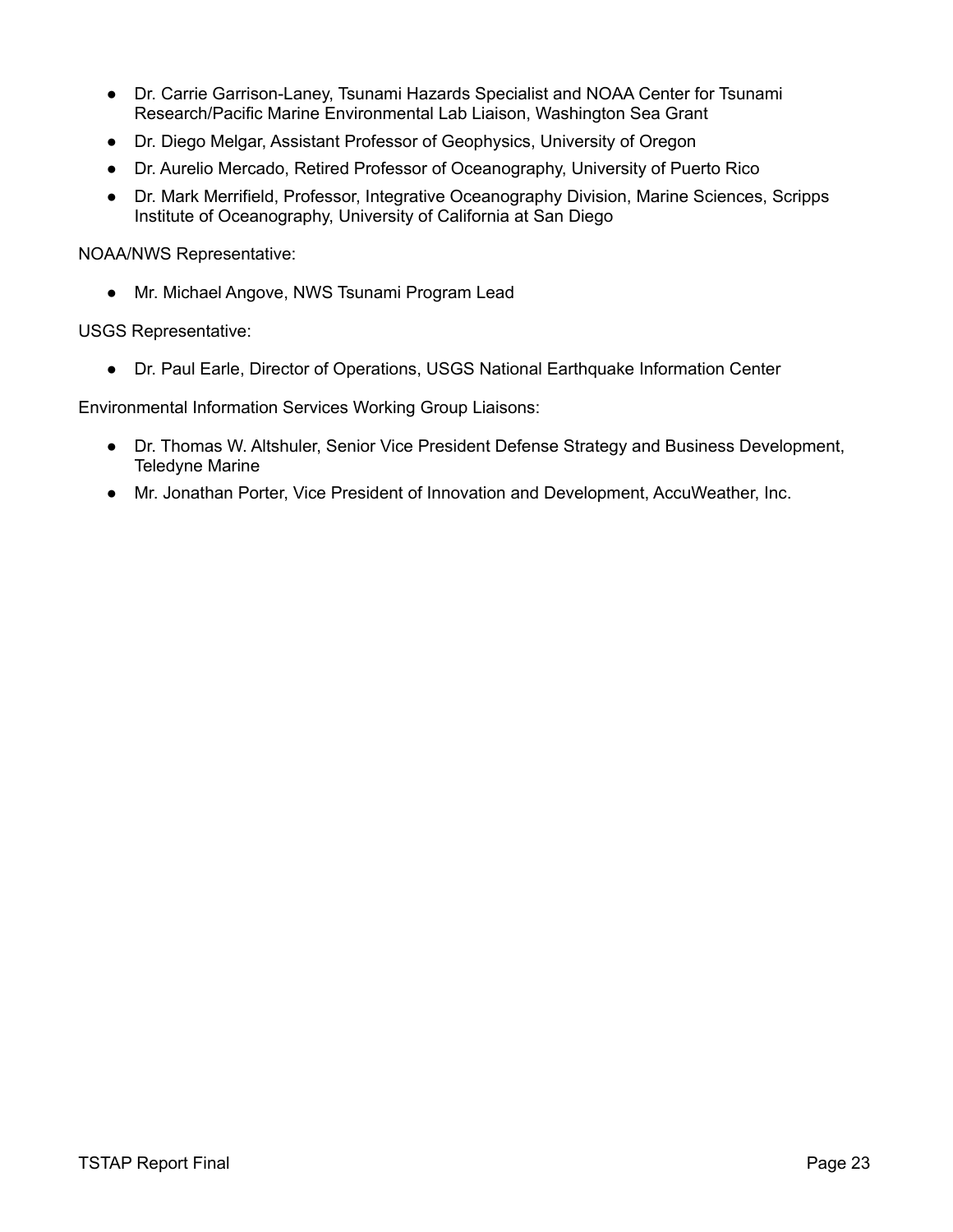- Dr. Carrie Garrison-Laney, Tsunami Hazards Specialist and NOAA Center for Tsunami Research/Pacific Marine Environmental Lab Liaison, Washington Sea Grant
- Dr. Diego Melgar, Assistant Professor of Geophysics, University of Oregon
- Dr. Aurelio Mercado, Retired Professor of Oceanography, University of Puerto Rico
- Dr. Mark Merrifield, Professor, Integrative Oceanography Division, Marine Sciences, Scripps Institute of Oceanography, University of California at San Diego

NOAA/NWS Representative:

● Mr. Michael Angove, NWS Tsunami Program Lead

USGS Representative:

● Dr. Paul Earle, Director of Operations, USGS National Earthquake Information Center

Environmental Information Services Working Group Liaisons:

- Dr. Thomas W. Altshuler, Senior Vice President Defense Strategy and Business Development, Teledyne Marine
- Mr. Jonathan Porter, Vice President of Innovation and Development, AccuWeather, Inc.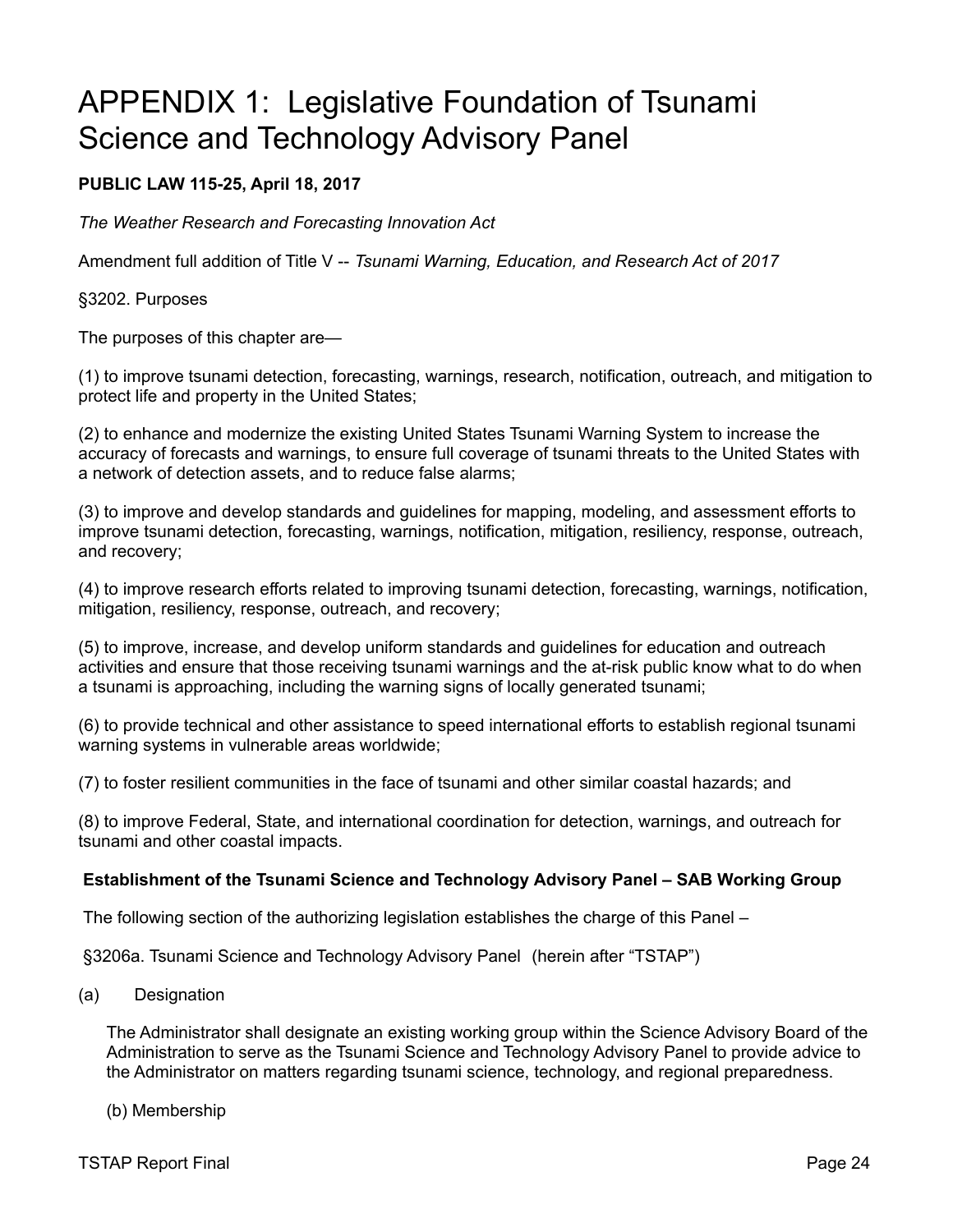## <span id="page-28-0"></span>APPENDIX 1: Legislative Foundation of Tsunami Science and Technology Advisory Panel

#### **PUBLIC LAW 115-25, April 18, 2017**

*The Weather Research and Forecasting Innovation Act*

Amendment full addition of Title V -- *Tsunami Warning, Education, and Research Act of 2017*

§3202. Purposes

The purposes of this chapter are—

(1) to improve tsunami detection, forecasting, warnings, research, notification, outreach, and mitigation to protect life and property in the United States;

(2) to enhance and modernize the existing United States Tsunami Warning System to increase the accuracy of forecasts and warnings, to ensure full coverage of tsunami threats to the United States with a network of detection assets, and to reduce false alarms;

(3) to improve and develop standards and guidelines for mapping, modeling, and assessment efforts to improve tsunami detection, forecasting, warnings, notification, mitigation, resiliency, response, outreach, and recovery;

(4) to improve research efforts related to improving tsunami detection, forecasting, warnings, notification, mitigation, resiliency, response, outreach, and recovery;

(5) to improve, increase, and develop uniform standards and guidelines for education and outreach activities and ensure that those receiving tsunami warnings and the at-risk public know what to do when a tsunami is approaching, including the warning signs of locally generated tsunami;

(6) to provide technical and other assistance to speed international efforts to establish regional tsunami warning systems in vulnerable areas worldwide;

(7) to foster resilient communities in the face of tsunami and other similar coastal hazards; and

(8) to improve Federal, State, and international coordination for detection, warnings, and outreach for tsunami and other coastal impacts.

#### **Establishment of the Tsunami Science and Technology Advisory Panel – SAB Working Group**

The following section of the authorizing legislation establishes the charge of this Panel –

§3206a. Tsunami Science and Technology Advisory Panel (herein after "TSTAP")

(a) Designation

The Administrator shall designate an existing working group within the Science Advisory Board of the Administration to serve as the Tsunami Science and Technology Advisory Panel to provide advice to the Administrator on matters regarding tsunami science, technology, and regional preparedness.

#### (b) Membership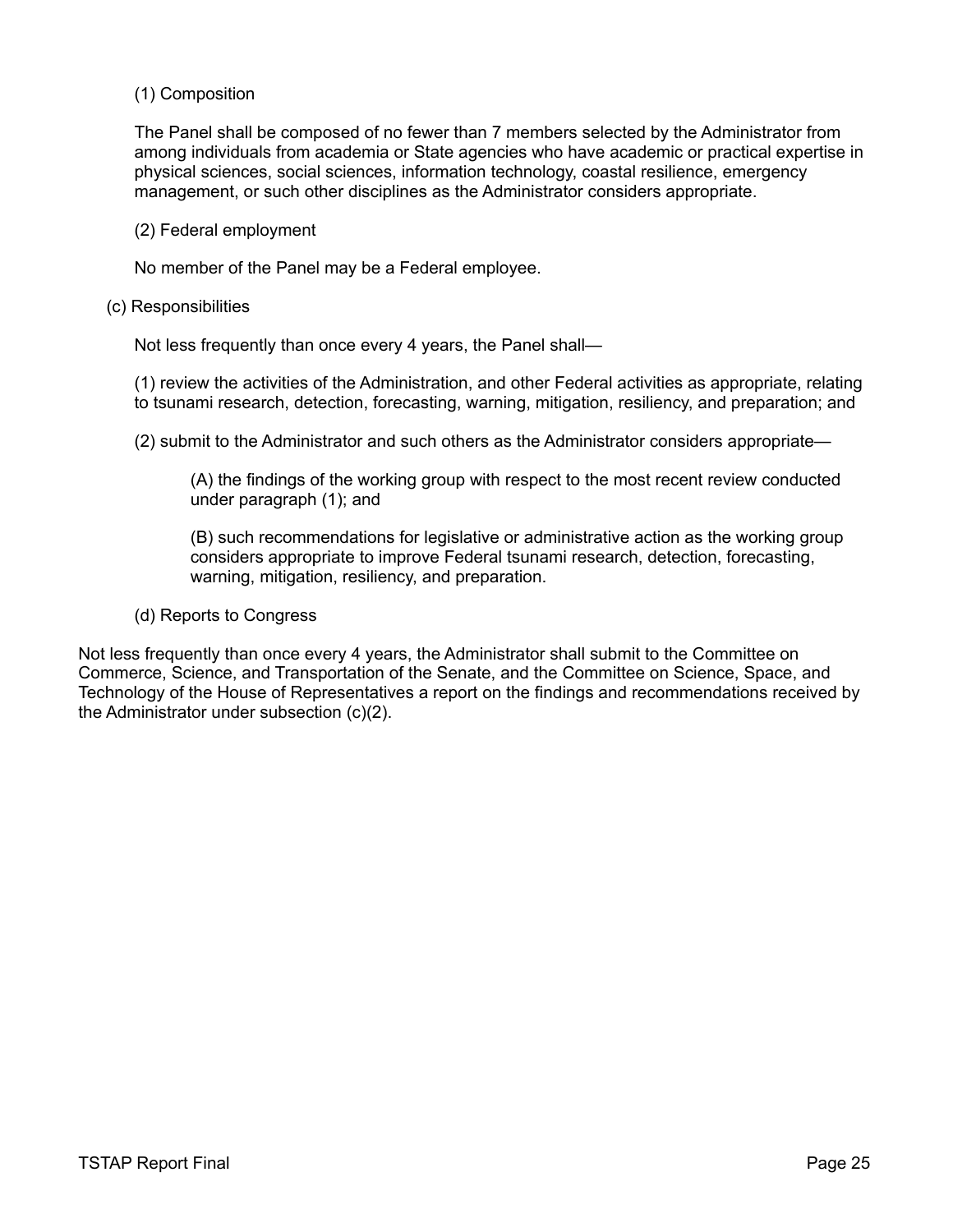#### (1) Composition

The Panel shall be composed of no fewer than 7 members selected by the Administrator from among individuals from academia or State agencies who have academic or practical expertise in physical sciences, social sciences, information technology, coastal resilience, emergency management, or such other disciplines as the Administrator considers appropriate.

#### (2) Federal employment

No member of the Panel may be a Federal employee.

#### (c) Responsibilities

Not less frequently than once every 4 years, the Panel shall—

(1) review the activities of the Administration, and other Federal activities as appropriate, relating to tsunami research, detection, forecasting, warning, mitigation, resiliency, and preparation; and

(2) submit to the Administrator and such others as the Administrator considers appropriate—

(A) the findings of the working group with respect to the most recent review conducted under paragraph (1); and

(B) such recommendations for legislative or administrative action as the working group considers appropriate to improve Federal tsunami research, detection, forecasting, warning, mitigation, resiliency, and preparation.

#### (d) Reports to Congress

Not less frequently than once every 4 years, the Administrator shall submit to the Committee on Commerce, Science, and Transportation of the Senate, and the Committee on Science, Space, and Technology of the House of Representatives a report on the findings and recommendations received by the Administrator under subsection (c)(2).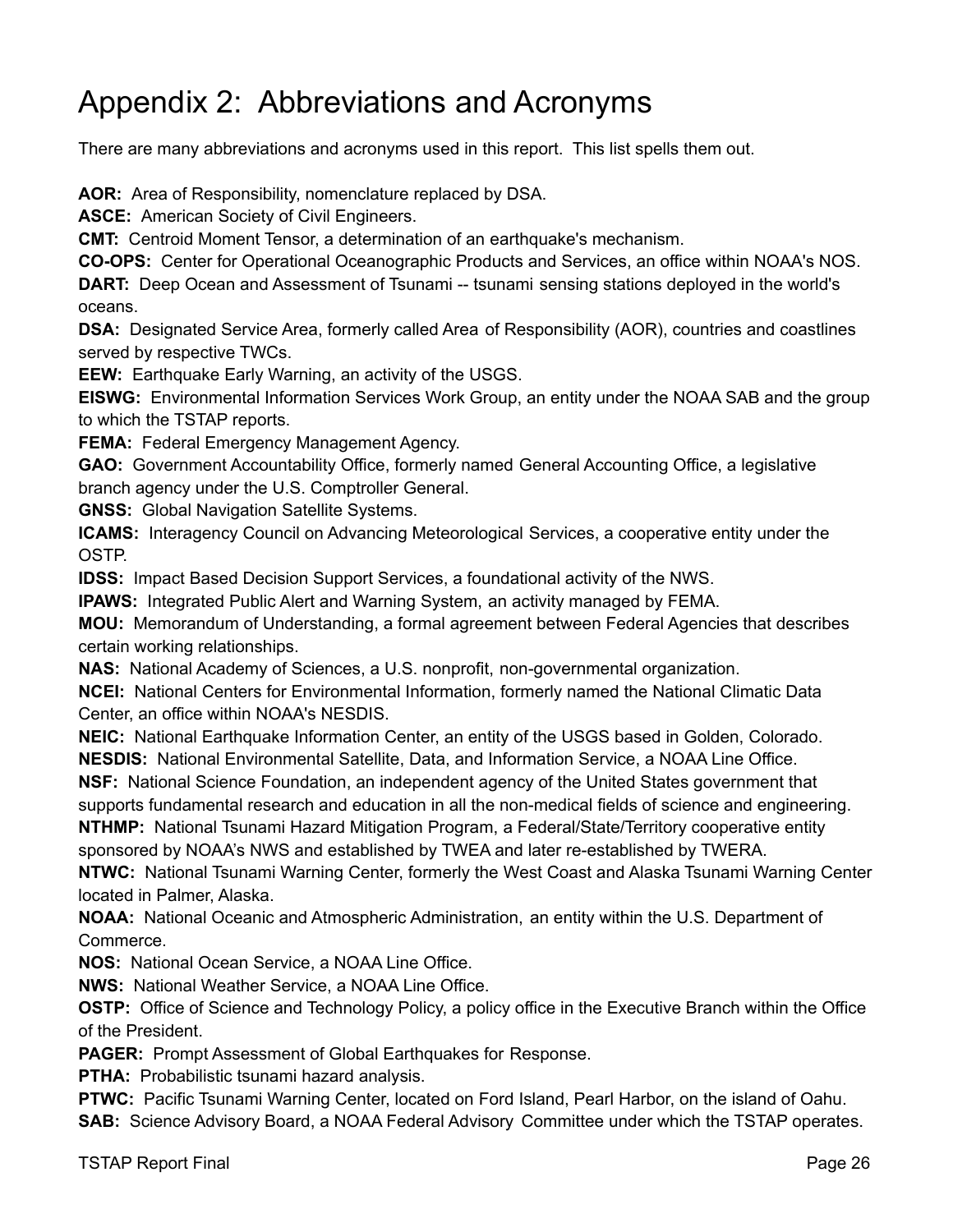## Appendix 2: Abbreviations and Acronyms

There are many abbreviations and acronyms used in this report. This list spells them out.

**AOR:** Area of Responsibility, nomenclature replaced by DSA.

**ASCE:** American Society of Civil Engineers.

**CMT:** Centroid Moment Tensor, a determination of an earthquake's mechanism.

**CO-OPS:** Center for Operational Oceanographic Products and Services, an office within NOAA's NOS. **DART:** Deep Ocean and Assessment of Tsunami -- tsunami sensing stations deployed in the world's oceans.

**DSA:** Designated Service Area, formerly called Area of Responsibility (AOR), countries and coastlines served by respective TWCs.

**EEW:** Earthquake Early Warning, an activity of the USGS.

**EISWG:** Environmental Information Services Work Group, an entity under the NOAA SAB and the group to which the TSTAP reports.

**FEMA:** Federal Emergency Management Agency.

**GAO:** Government Accountability Office, formerly named General Accounting Office, a legislative branch agency under the U.S. Comptroller General.

**GNSS:** Global Navigation Satellite Systems.

**ICAMS:** Interagency Council on Advancing Meteorological Services, a cooperative entity under the OSTP.

**IDSS:** Impact Based Decision Support Services, a foundational activity of the NWS.

**IPAWS:** Integrated Public Alert and Warning System, an activity managed by FEMA.

**MOU:** Memorandum of Understanding, a formal agreement between Federal Agencies that describes certain working relationships.

**NAS:** National Academy of Sciences, a U.S. nonprofit, non-governmental organization.

**NCEI:** National Centers for Environmental Information, formerly named the National Climatic Data Center, an office within NOAA's NESDIS.

**NEIC:** National Earthquake Information Center, an entity of the USGS based in Golden, Colorado. **NESDIS:** National Environmental Satellite, Data, and Information Service, a NOAA Line Office.

**NSF:** National Science Foundation, an independent agency of the United States government that supports fundamental research and education in all the non-medical fields of science and engineering.

**NTHMP:** National Tsunami Hazard Mitigation Program, a Federal/State/Territory cooperative entity sponsored by NOAA's NWS and established by TWEA and later re-established by TWERA.

**NTWC:** National Tsunami Warning Center, formerly the West Coast and Alaska Tsunami Warning Center located in Palmer, Alaska.

**NOAA:** National Oceanic and Atmospheric Administration, an entity within the U.S. Department of Commerce.

**NOS:** National Ocean Service, a NOAA Line Office.

**NWS:** National Weather Service, a NOAA Line Office.

**OSTP:** Office of Science and Technology Policy, a policy office in the Executive Branch within the Office of the President.

**PAGER:** Prompt Assessment of Global Earthquakes for Response.

**PTHA:** Probabilistic tsunami hazard analysis.

**PTWC:** Pacific Tsunami Warning Center, located on Ford Island, Pearl Harbor, on the island of Oahu.

**SAB:** Science Advisory Board, a NOAA Federal Advisory Committee under which the TSTAP operates.